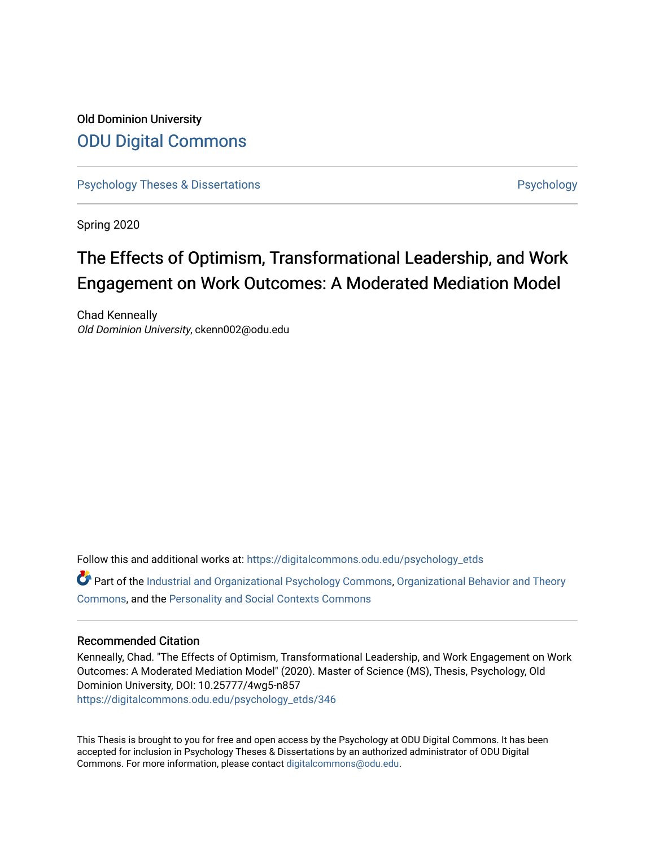## Old Dominion University [ODU Digital Commons](https://digitalcommons.odu.edu/)

[Psychology Theses & Dissertations](https://digitalcommons.odu.edu/psychology_etds) **Psychology** [Psychology](https://digitalcommons.odu.edu/psychology) **Psychology** 

Spring 2020

# The Effects of Optimism, Transformational Leadership, and Work Engagement on Work Outcomes: A Moderated Mediation Model

Chad Kenneally Old Dominion University, ckenn002@odu.edu

Follow this and additional works at: [https://digitalcommons.odu.edu/psychology\\_etds](https://digitalcommons.odu.edu/psychology_etds?utm_source=digitalcommons.odu.edu%2Fpsychology_etds%2F346&utm_medium=PDF&utm_campaign=PDFCoverPages)

Part of the [Industrial and Organizational Psychology Commons,](http://network.bepress.com/hgg/discipline/412?utm_source=digitalcommons.odu.edu%2Fpsychology_etds%2F346&utm_medium=PDF&utm_campaign=PDFCoverPages) [Organizational Behavior and Theory](http://network.bepress.com/hgg/discipline/639?utm_source=digitalcommons.odu.edu%2Fpsychology_etds%2F346&utm_medium=PDF&utm_campaign=PDFCoverPages)  [Commons](http://network.bepress.com/hgg/discipline/639?utm_source=digitalcommons.odu.edu%2Fpsychology_etds%2F346&utm_medium=PDF&utm_campaign=PDFCoverPages), and the [Personality and Social Contexts Commons](http://network.bepress.com/hgg/discipline/413?utm_source=digitalcommons.odu.edu%2Fpsychology_etds%2F346&utm_medium=PDF&utm_campaign=PDFCoverPages)

#### Recommended Citation

Kenneally, Chad. "The Effects of Optimism, Transformational Leadership, and Work Engagement on Work Outcomes: A Moderated Mediation Model" (2020). Master of Science (MS), Thesis, Psychology, Old Dominion University, DOI: 10.25777/4wg5-n857 [https://digitalcommons.odu.edu/psychology\\_etds/346](https://digitalcommons.odu.edu/psychology_etds/346?utm_source=digitalcommons.odu.edu%2Fpsychology_etds%2F346&utm_medium=PDF&utm_campaign=PDFCoverPages)

This Thesis is brought to you for free and open access by the Psychology at ODU Digital Commons. It has been accepted for inclusion in Psychology Theses & Dissertations by an authorized administrator of ODU Digital Commons. For more information, please contact [digitalcommons@odu.edu](mailto:digitalcommons@odu.edu).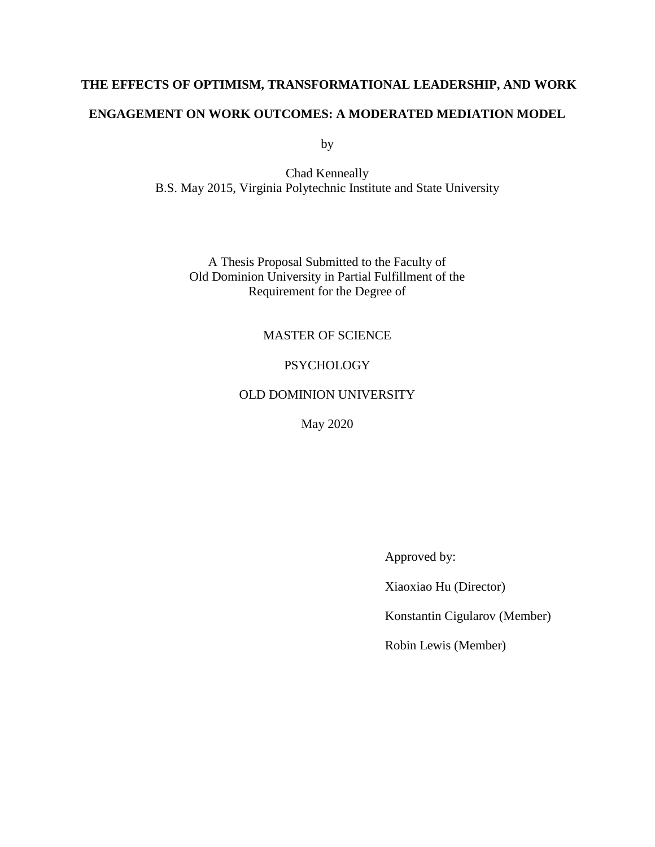# **THE EFFECTS OF OPTIMISM, TRANSFORMATIONAL LEADERSHIP, AND WORK**

### **ENGAGEMENT ON WORK OUTCOMES: A MODERATED MEDIATION MODEL**

by

Chad Kenneally B.S. May 2015, Virginia Polytechnic Institute and State University

A Thesis Proposal Submitted to the Faculty of Old Dominion University in Partial Fulfillment of the Requirement for the Degree of

### MASTER OF SCIENCE

### PSYCHOLOGY

### OLD DOMINION UNIVERSITY

May 2020

Approved by:

Xiaoxiao Hu (Director)

Konstantin Cigularov (Member)

Robin Lewis (Member)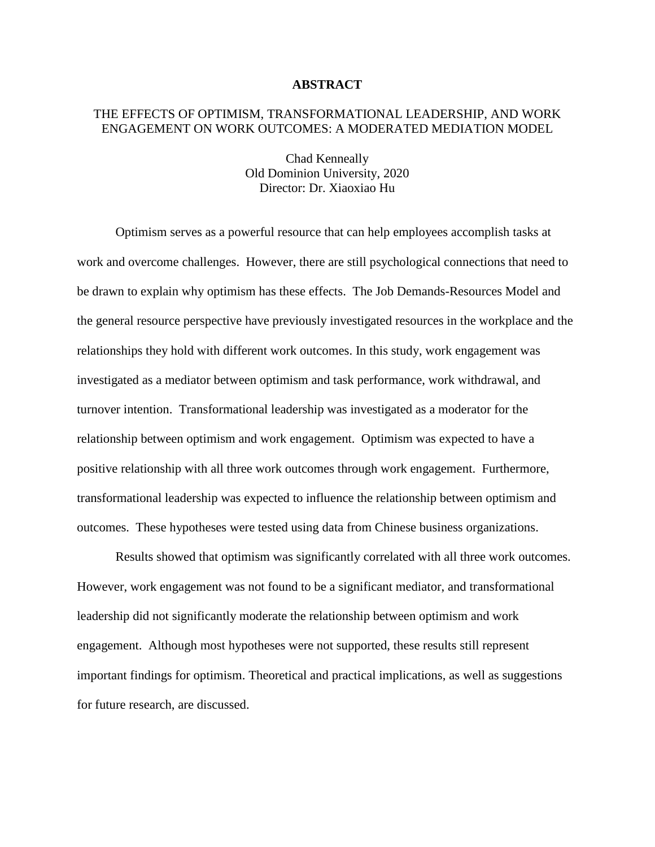### **ABSTRACT**

### THE EFFECTS OF OPTIMISM, TRANSFORMATIONAL LEADERSHIP, AND WORK ENGAGEMENT ON WORK OUTCOMES: A MODERATED MEDIATION MODEL

Chad Kenneally Old Dominion University, 2020 Director: Dr. Xiaoxiao Hu

Optimism serves as a powerful resource that can help employees accomplish tasks at work and overcome challenges. However, there are still psychological connections that need to be drawn to explain why optimism has these effects. The Job Demands-Resources Model and the general resource perspective have previously investigated resources in the workplace and the relationships they hold with different work outcomes. In this study, work engagement was investigated as a mediator between optimism and task performance, work withdrawal, and turnover intention. Transformational leadership was investigated as a moderator for the relationship between optimism and work engagement. Optimism was expected to have a positive relationship with all three work outcomes through work engagement. Furthermore, transformational leadership was expected to influence the relationship between optimism and outcomes. These hypotheses were tested using data from Chinese business organizations.

Results showed that optimism was significantly correlated with all three work outcomes. However, work engagement was not found to be a significant mediator, and transformational leadership did not significantly moderate the relationship between optimism and work engagement. Although most hypotheses were not supported, these results still represent important findings for optimism. Theoretical and practical implications, as well as suggestions for future research, are discussed.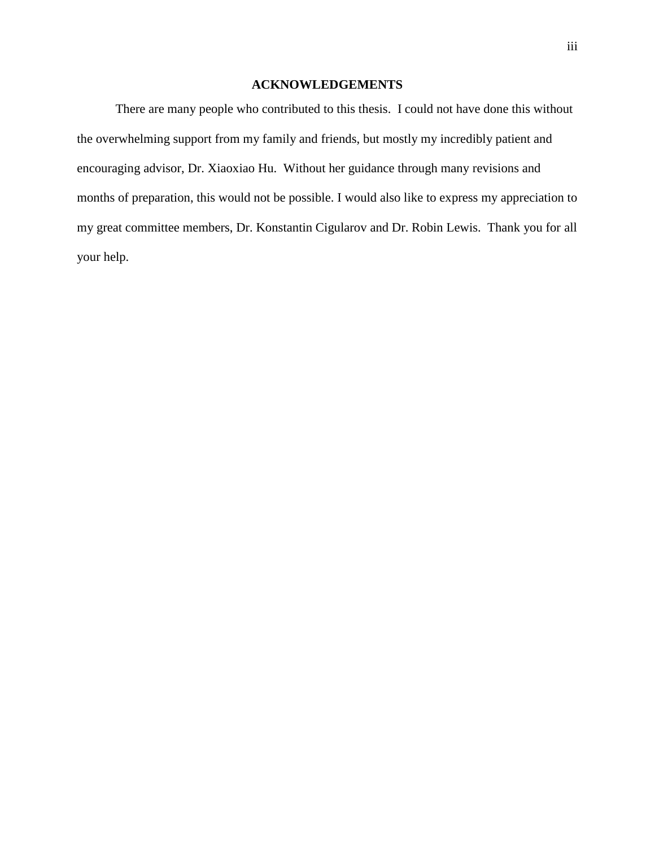### **ACKNOWLEDGEMENTS**

There are many people who contributed to this thesis. I could not have done this without the overwhelming support from my family and friends, but mostly my incredibly patient and encouraging advisor, Dr. Xiaoxiao Hu. Without her guidance through many revisions and months of preparation, this would not be possible. I would also like to express my appreciation to my great committee members, Dr. Konstantin Cigularov and Dr. Robin Lewis. Thank you for all your help.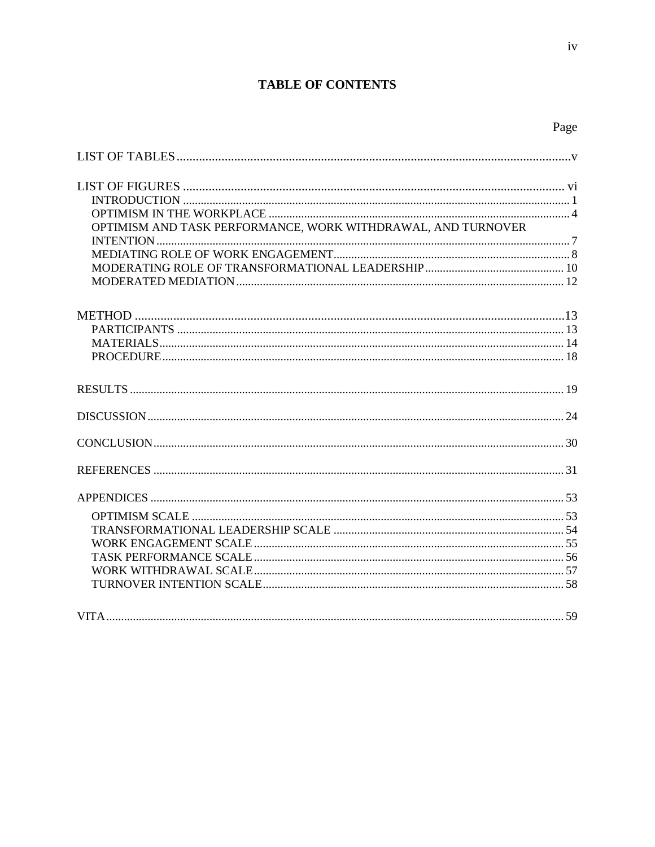## **TABLE OF CONTENTS**

| OPTIMISM AND TASK PERFORMANCE, WORK WITHDRAWAL, AND TURNOVER |  |
|--------------------------------------------------------------|--|
|                                                              |  |
|                                                              |  |
|                                                              |  |
|                                                              |  |
|                                                              |  |
|                                                              |  |
|                                                              |  |
|                                                              |  |
|                                                              |  |
|                                                              |  |
|                                                              |  |
|                                                              |  |
|                                                              |  |
|                                                              |  |
|                                                              |  |
|                                                              |  |
|                                                              |  |
|                                                              |  |
|                                                              |  |
|                                                              |  |
|                                                              |  |
|                                                              |  |
|                                                              |  |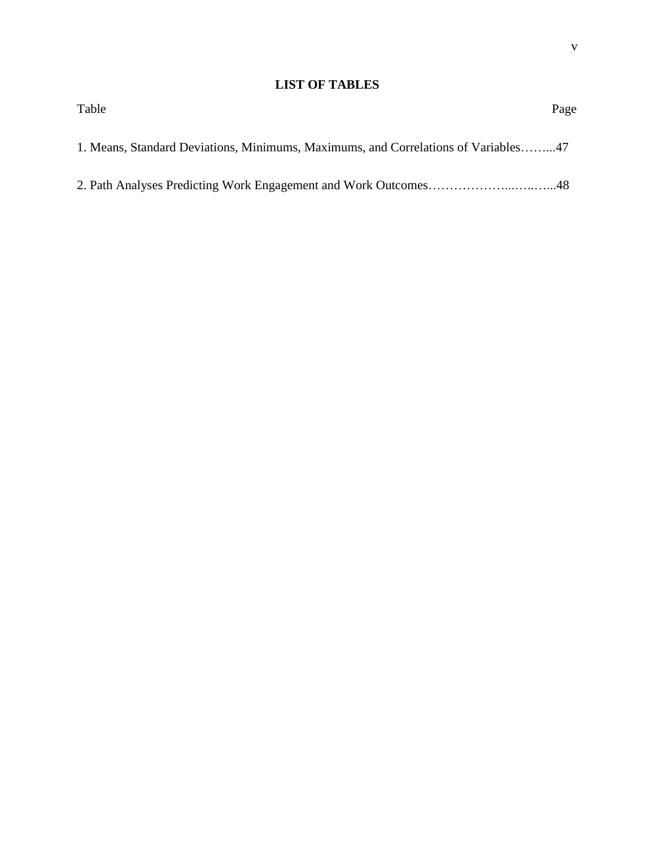### **LIST OF TABLES**

| Table                                                                              | Page |
|------------------------------------------------------------------------------------|------|
| 1. Means, Standard Deviations, Minimums, Maximums, and Correlations of Variables47 |      |
|                                                                                    |      |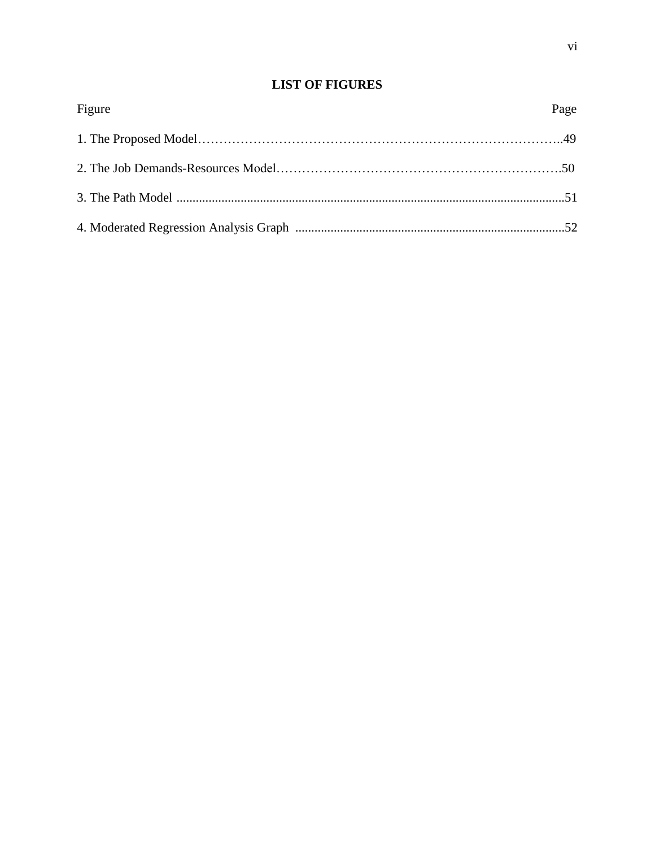## **LIST OF FIGURES**

| Figure | Page |
|--------|------|
|        |      |
|        |      |
|        |      |
|        |      |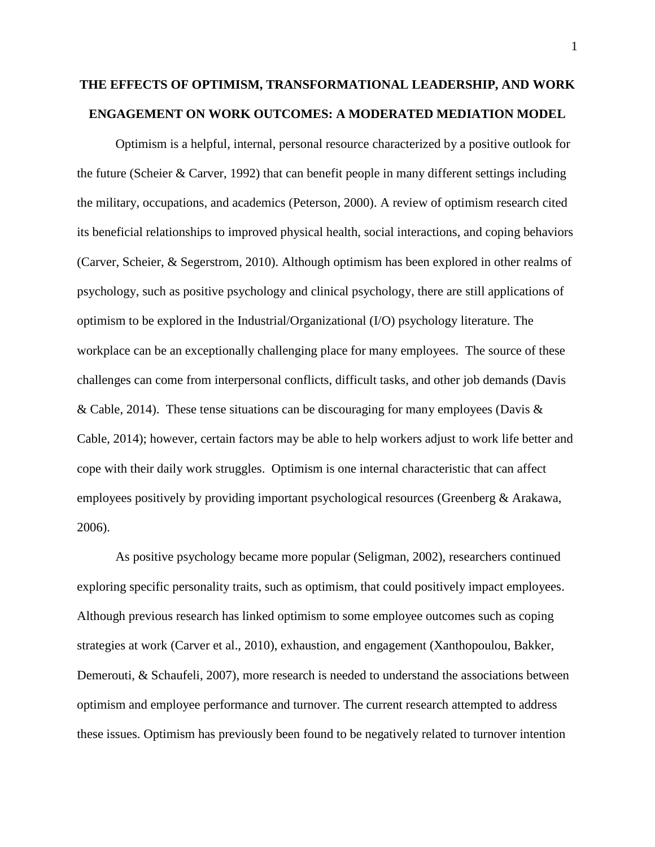# **THE EFFECTS OF OPTIMISM, TRANSFORMATIONAL LEADERSHIP, AND WORK ENGAGEMENT ON WORK OUTCOMES: A MODERATED MEDIATION MODEL**

Optimism is a helpful, internal, personal resource characterized by a positive outlook for the future (Scheier & Carver, 1992) that can benefit people in many different settings including the military, occupations, and academics (Peterson, 2000). A review of optimism research cited its beneficial relationships to improved physical health, social interactions, and coping behaviors (Carver, Scheier, & Segerstrom, 2010). Although optimism has been explored in other realms of psychology, such as positive psychology and clinical psychology, there are still applications of optimism to be explored in the Industrial/Organizational (I/O) psychology literature. The workplace can be an exceptionally challenging place for many employees. The source of these challenges can come from interpersonal conflicts, difficult tasks, and other job demands (Davis & Cable, 2014). These tense situations can be discouraging for many employees (Davis  $\&$ Cable, 2014); however, certain factors may be able to help workers adjust to work life better and cope with their daily work struggles. Optimism is one internal characteristic that can affect employees positively by providing important psychological resources (Greenberg & Arakawa, 2006).

As positive psychology became more popular (Seligman, 2002), researchers continued exploring specific personality traits, such as optimism, that could positively impact employees. Although previous research has linked optimism to some employee outcomes such as coping strategies at work (Carver et al., 2010), exhaustion, and engagement (Xanthopoulou, Bakker, Demerouti, & Schaufeli, 2007), more research is needed to understand the associations between optimism and employee performance and turnover. The current research attempted to address these issues. Optimism has previously been found to be negatively related to turnover intention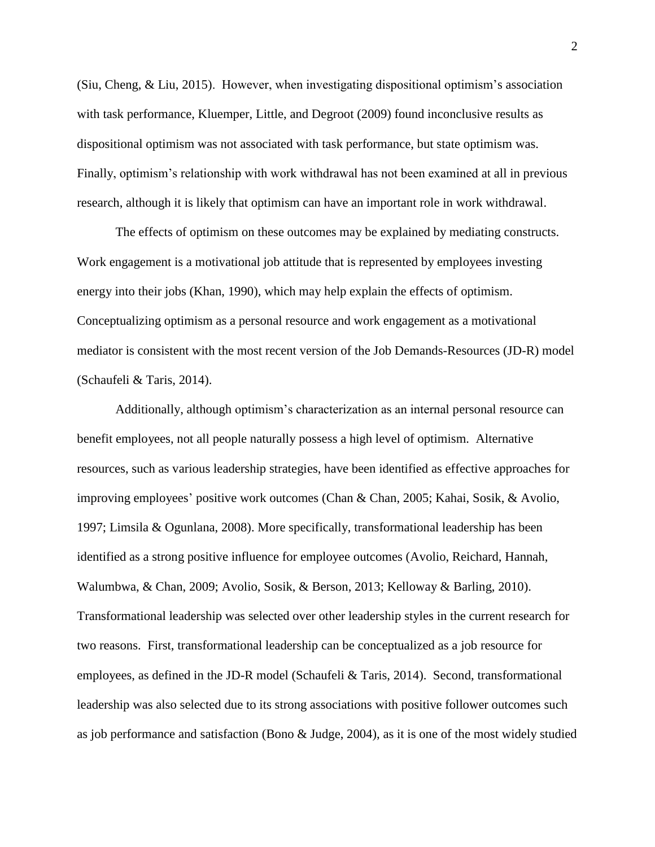(Siu, Cheng, & Liu, 2015). However, when investigating dispositional optimism's association with task performance, Kluemper, Little, and Degroot (2009) found inconclusive results as dispositional optimism was not associated with task performance, but state optimism was. Finally, optimism's relationship with work withdrawal has not been examined at all in previous research, although it is likely that optimism can have an important role in work withdrawal.

The effects of optimism on these outcomes may be explained by mediating constructs. Work engagement is a motivational job attitude that is represented by employees investing energy into their jobs (Khan, 1990), which may help explain the effects of optimism. Conceptualizing optimism as a personal resource and work engagement as a motivational mediator is consistent with the most recent version of the Job Demands-Resources (JD-R) model (Schaufeli & Taris, 2014).

Additionally, although optimism's characterization as an internal personal resource can benefit employees, not all people naturally possess a high level of optimism. Alternative resources, such as various leadership strategies, have been identified as effective approaches for improving employees' positive work outcomes (Chan & Chan, 2005; Kahai, Sosik, & Avolio, 1997; Limsila & Ogunlana, 2008). More specifically, transformational leadership has been identified as a strong positive influence for employee outcomes (Avolio, Reichard, Hannah, Walumbwa, & Chan, 2009; Avolio, Sosik, & Berson, 2013; Kelloway & Barling, 2010). Transformational leadership was selected over other leadership styles in the current research for two reasons. First, transformational leadership can be conceptualized as a job resource for employees, as defined in the JD-R model (Schaufeli & Taris, 2014). Second, transformational leadership was also selected due to its strong associations with positive follower outcomes such as job performance and satisfaction (Bono & Judge, 2004), as it is one of the most widely studied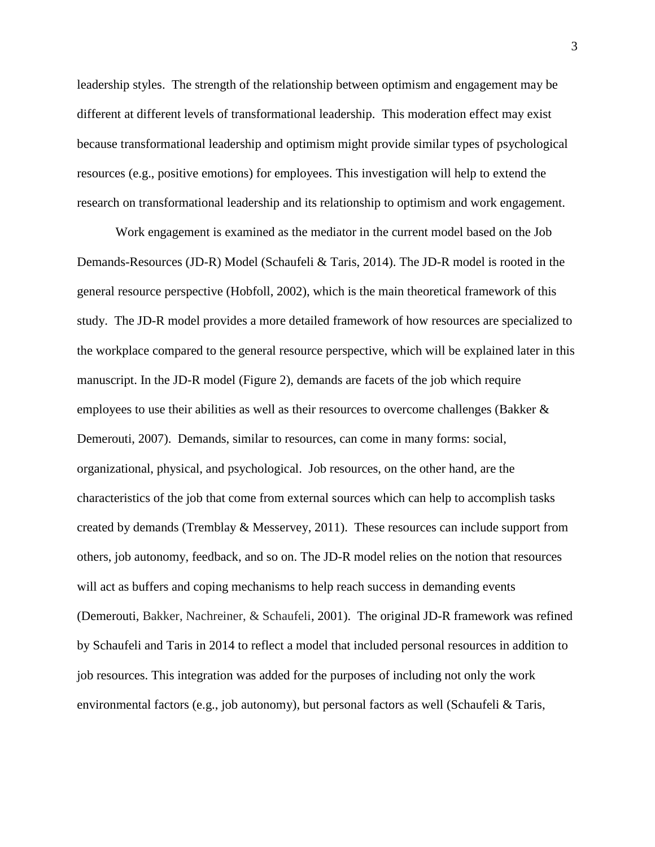leadership styles. The strength of the relationship between optimism and engagement may be different at different levels of transformational leadership. This moderation effect may exist because transformational leadership and optimism might provide similar types of psychological resources (e.g., positive emotions) for employees. This investigation will help to extend the research on transformational leadership and its relationship to optimism and work engagement.

Work engagement is examined as the mediator in the current model based on the Job Demands-Resources (JD-R) Model (Schaufeli & Taris, 2014). The JD-R model is rooted in the general resource perspective (Hobfoll, 2002), which is the main theoretical framework of this study. The JD-R model provides a more detailed framework of how resources are specialized to the workplace compared to the general resource perspective, which will be explained later in this manuscript. In the JD-R model (Figure 2), demands are facets of the job which require employees to use their abilities as well as their resources to overcome challenges (Bakker & Demerouti, 2007). Demands, similar to resources, can come in many forms: social, organizational, physical, and psychological. Job resources, on the other hand, are the characteristics of the job that come from external sources which can help to accomplish tasks created by demands (Tremblay & Messervey, 2011). These resources can include support from others, job autonomy, feedback, and so on. The JD-R model relies on the notion that resources will act as buffers and coping mechanisms to help reach success in demanding events (Demerouti, Bakker, Nachreiner, & Schaufeli, 2001). The original JD-R framework was refined by Schaufeli and Taris in 2014 to reflect a model that included personal resources in addition to job resources. This integration was added for the purposes of including not only the work environmental factors (e.g., job autonomy), but personal factors as well (Schaufeli & Taris,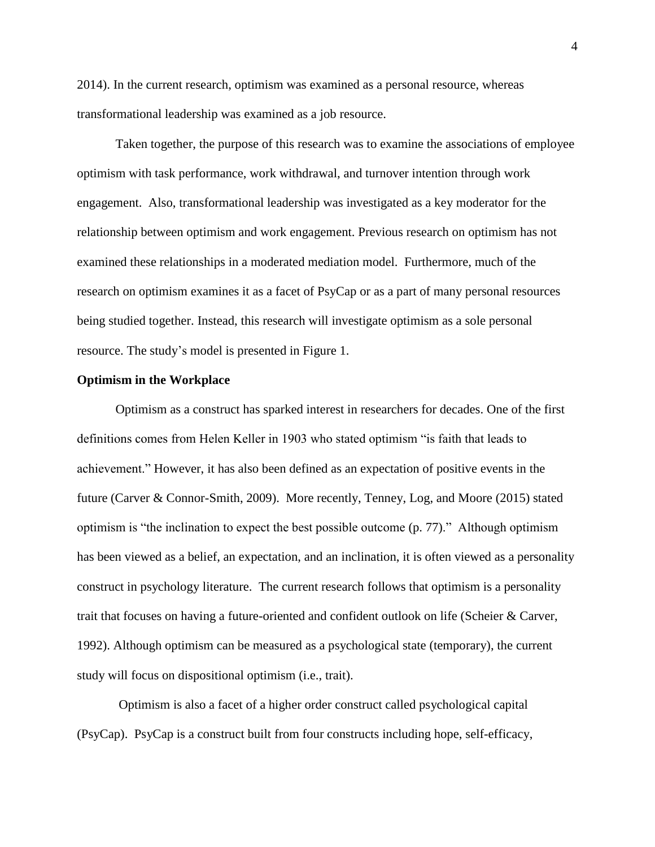2014). In the current research, optimism was examined as a personal resource, whereas transformational leadership was examined as a job resource.

Taken together, the purpose of this research was to examine the associations of employee optimism with task performance, work withdrawal, and turnover intention through work engagement. Also, transformational leadership was investigated as a key moderator for the relationship between optimism and work engagement. Previous research on optimism has not examined these relationships in a moderated mediation model. Furthermore, much of the research on optimism examines it as a facet of PsyCap or as a part of many personal resources being studied together. Instead, this research will investigate optimism as a sole personal resource. The study's model is presented in Figure 1.

#### **Optimism in the Workplace**

Optimism as a construct has sparked interest in researchers for decades. One of the first definitions comes from Helen Keller in 1903 who stated optimism "is faith that leads to achievement." However, it has also been defined as an expectation of positive events in the future (Carver & Connor-Smith, 2009). More recently, Tenney, Log, and Moore (2015) stated optimism is "the inclination to expect the best possible outcome (p. 77)." Although optimism has been viewed as a belief, an expectation, and an inclination, it is often viewed as a personality construct in psychology literature. The current research follows that optimism is a personality trait that focuses on having a future-oriented and confident outlook on life (Scheier & Carver, 1992). Although optimism can be measured as a psychological state (temporary), the current study will focus on dispositional optimism (i.e., trait).

Optimism is also a facet of a higher order construct called psychological capital (PsyCap). PsyCap is a construct built from four constructs including hope, self-efficacy,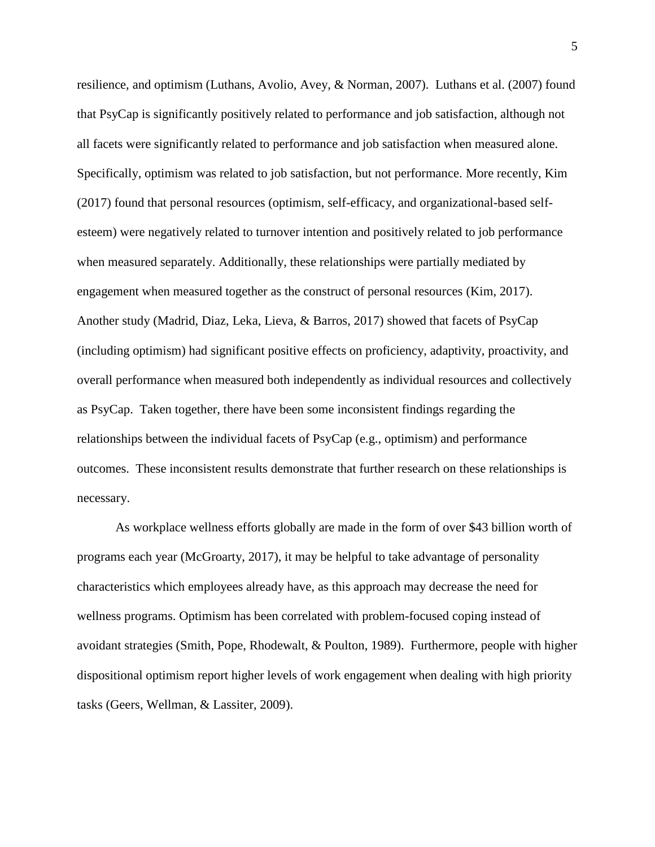resilience, and optimism (Luthans, Avolio, Avey, & Norman, 2007). Luthans et al. (2007) found that PsyCap is significantly positively related to performance and job satisfaction, although not all facets were significantly related to performance and job satisfaction when measured alone. Specifically, optimism was related to job satisfaction, but not performance. More recently, Kim (2017) found that personal resources (optimism, self-efficacy, and organizational-based selfesteem) were negatively related to turnover intention and positively related to job performance when measured separately. Additionally, these relationships were partially mediated by engagement when measured together as the construct of personal resources (Kim, 2017). Another study (Madrid, Diaz, Leka, Lieva, & Barros, 2017) showed that facets of PsyCap (including optimism) had significant positive effects on proficiency, adaptivity, proactivity, and overall performance when measured both independently as individual resources and collectively as PsyCap. Taken together, there have been some inconsistent findings regarding the relationships between the individual facets of PsyCap (e.g., optimism) and performance outcomes. These inconsistent results demonstrate that further research on these relationships is necessary.

As workplace wellness efforts globally are made in the form of over \$43 billion worth of programs each year (McGroarty, 2017), it may be helpful to take advantage of personality characteristics which employees already have, as this approach may decrease the need for wellness programs. Optimism has been correlated with problem-focused coping instead of avoidant strategies (Smith, Pope, Rhodewalt, & Poulton, 1989). Furthermore, people with higher dispositional optimism report higher levels of work engagement when dealing with high priority tasks (Geers, Wellman, & Lassiter, 2009).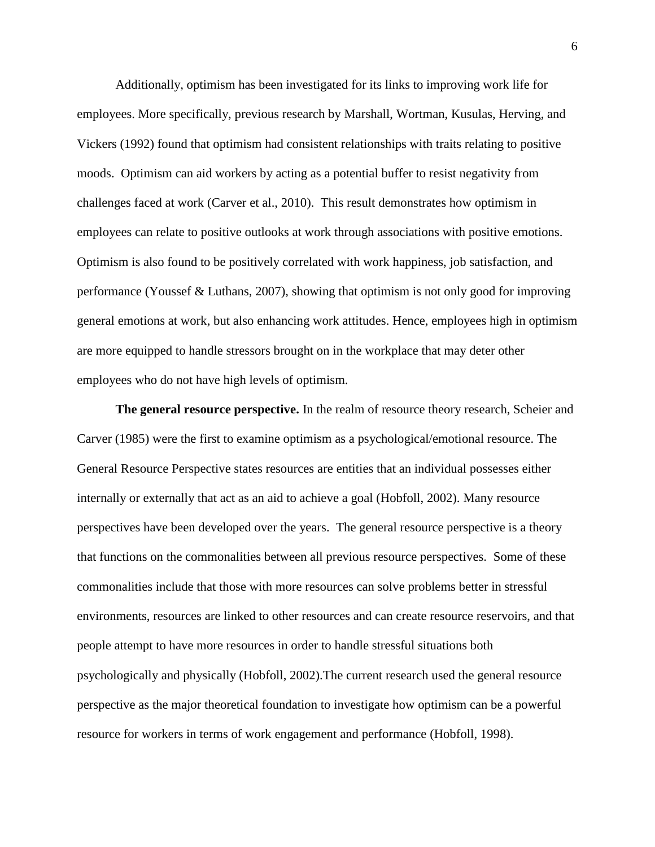Additionally, optimism has been investigated for its links to improving work life for employees. More specifically, previous research by Marshall, Wortman, Kusulas, Herving, and Vickers (1992) found that optimism had consistent relationships with traits relating to positive moods. Optimism can aid workers by acting as a potential buffer to resist negativity from challenges faced at work (Carver et al., 2010). This result demonstrates how optimism in employees can relate to positive outlooks at work through associations with positive emotions. Optimism is also found to be positively correlated with work happiness, job satisfaction, and performance (Youssef & Luthans, 2007), showing that optimism is not only good for improving general emotions at work, but also enhancing work attitudes. Hence, employees high in optimism are more equipped to handle stressors brought on in the workplace that may deter other employees who do not have high levels of optimism.

**The general resource perspective.** In the realm of resource theory research, Scheier and Carver (1985) were the first to examine optimism as a psychological/emotional resource. The General Resource Perspective states resources are entities that an individual possesses either internally or externally that act as an aid to achieve a goal (Hobfoll, 2002). Many resource perspectives have been developed over the years. The general resource perspective is a theory that functions on the commonalities between all previous resource perspectives. Some of these commonalities include that those with more resources can solve problems better in stressful environments, resources are linked to other resources and can create resource reservoirs, and that people attempt to have more resources in order to handle stressful situations both psychologically and physically (Hobfoll, 2002).The current research used the general resource perspective as the major theoretical foundation to investigate how optimism can be a powerful resource for workers in terms of work engagement and performance (Hobfoll, 1998).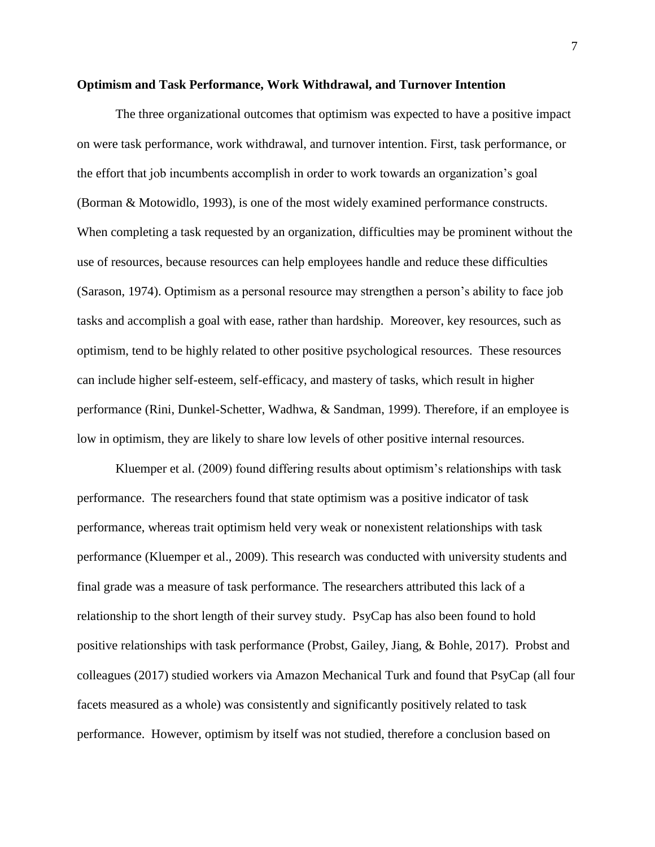#### **Optimism and Task Performance, Work Withdrawal, and Turnover Intention**

The three organizational outcomes that optimism was expected to have a positive impact on were task performance, work withdrawal, and turnover intention. First, task performance, or the effort that job incumbents accomplish in order to work towards an organization's goal (Borman & Motowidlo, 1993), is one of the most widely examined performance constructs. When completing a task requested by an organization, difficulties may be prominent without the use of resources, because resources can help employees handle and reduce these difficulties (Sarason, 1974). Optimism as a personal resource may strengthen a person's ability to face job tasks and accomplish a goal with ease, rather than hardship. Moreover, key resources, such as optimism, tend to be highly related to other positive psychological resources. These resources can include higher self-esteem, self-efficacy, and mastery of tasks, which result in higher performance (Rini, Dunkel-Schetter, Wadhwa, & Sandman, 1999). Therefore, if an employee is low in optimism, they are likely to share low levels of other positive internal resources.

Kluemper et al. (2009) found differing results about optimism's relationships with task performance. The researchers found that state optimism was a positive indicator of task performance, whereas trait optimism held very weak or nonexistent relationships with task performance (Kluemper et al., 2009). This research was conducted with university students and final grade was a measure of task performance. The researchers attributed this lack of a relationship to the short length of their survey study. PsyCap has also been found to hold positive relationships with task performance (Probst, Gailey, Jiang, & Bohle, 2017). Probst and colleagues (2017) studied workers via Amazon Mechanical Turk and found that PsyCap (all four facets measured as a whole) was consistently and significantly positively related to task performance. However, optimism by itself was not studied, therefore a conclusion based on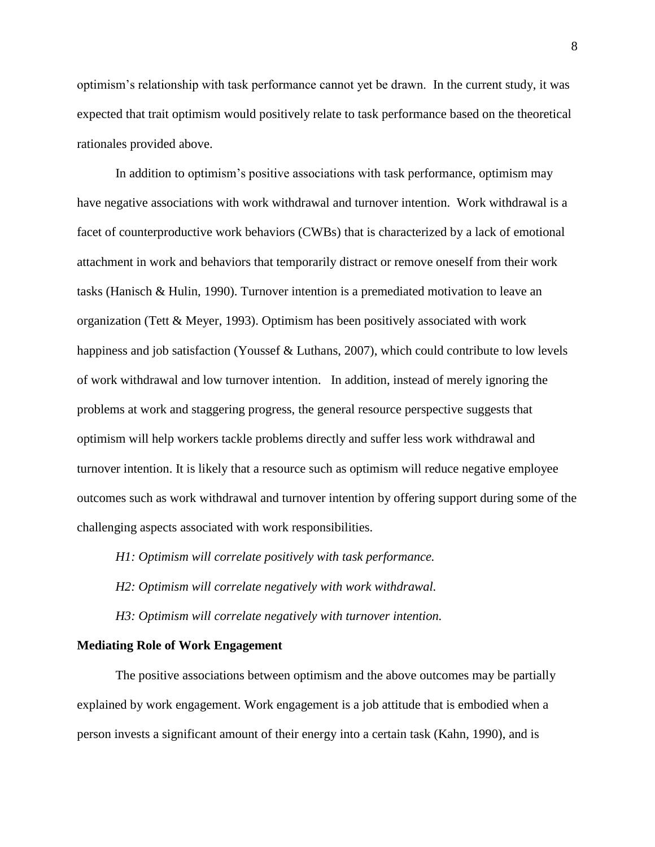optimism's relationship with task performance cannot yet be drawn. In the current study, it was expected that trait optimism would positively relate to task performance based on the theoretical rationales provided above.

In addition to optimism's positive associations with task performance, optimism may have negative associations with work withdrawal and turnover intention. Work withdrawal is a facet of counterproductive work behaviors (CWBs) that is characterized by a lack of emotional attachment in work and behaviors that temporarily distract or remove oneself from their work tasks (Hanisch & Hulin, 1990). Turnover intention is a premediated motivation to leave an organization (Tett & Meyer, 1993). Optimism has been positively associated with work happiness and job satisfaction (Youssef & Luthans, 2007), which could contribute to low levels of work withdrawal and low turnover intention. In addition, instead of merely ignoring the problems at work and staggering progress, the general resource perspective suggests that optimism will help workers tackle problems directly and suffer less work withdrawal and turnover intention. It is likely that a resource such as optimism will reduce negative employee outcomes such as work withdrawal and turnover intention by offering support during some of the challenging aspects associated with work responsibilities.

*H1: Optimism will correlate positively with task performance.*

*H2: Optimism will correlate negatively with work withdrawal.*

*H3: Optimism will correlate negatively with turnover intention.*

#### **Mediating Role of Work Engagement**

The positive associations between optimism and the above outcomes may be partially explained by work engagement. Work engagement is a job attitude that is embodied when a person invests a significant amount of their energy into a certain task (Kahn, 1990), and is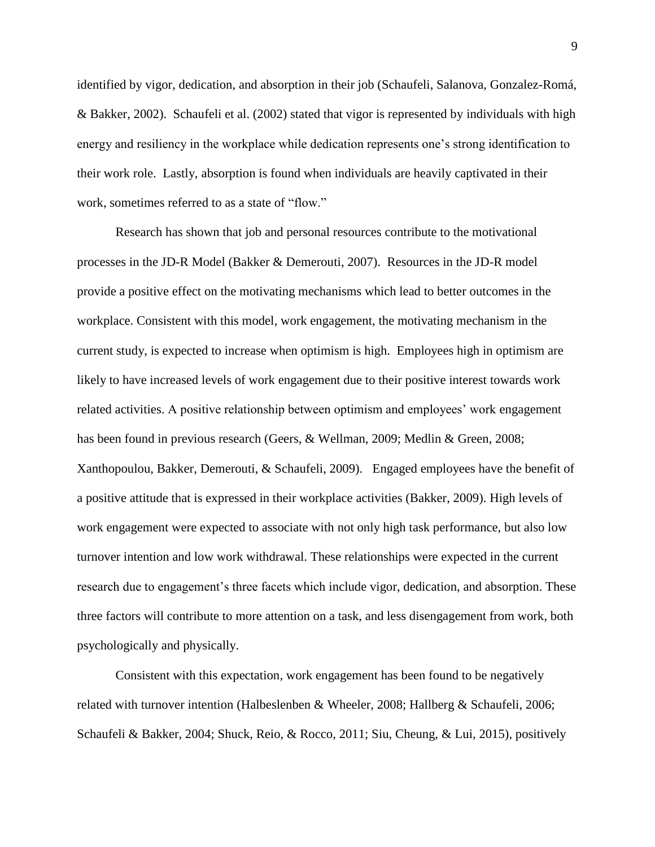identified by vigor, dedication, and absorption in their job (Schaufeli, Salanova, Gonzalez-Romá, & Bakker, 2002). Schaufeli et al. (2002) stated that vigor is represented by individuals with high energy and resiliency in the workplace while dedication represents one's strong identification to their work role. Lastly, absorption is found when individuals are heavily captivated in their work, sometimes referred to as a state of "flow."

Research has shown that job and personal resources contribute to the motivational processes in the JD-R Model (Bakker & Demerouti, 2007). Resources in the JD-R model provide a positive effect on the motivating mechanisms which lead to better outcomes in the workplace. Consistent with this model, work engagement, the motivating mechanism in the current study, is expected to increase when optimism is high. Employees high in optimism are likely to have increased levels of work engagement due to their positive interest towards work related activities. A positive relationship between optimism and employees' work engagement has been found in previous research (Geers, & Wellman, 2009; Medlin & Green, 2008; Xanthopoulou, Bakker, Demerouti, & Schaufeli, 2009). Engaged employees have the benefit of a positive attitude that is expressed in their workplace activities (Bakker, 2009). High levels of work engagement were expected to associate with not only high task performance, but also low turnover intention and low work withdrawal. These relationships were expected in the current research due to engagement's three facets which include vigor, dedication, and absorption. These three factors will contribute to more attention on a task, and less disengagement from work, both psychologically and physically.

Consistent with this expectation, work engagement has been found to be negatively related with turnover intention (Halbeslenben & Wheeler, 2008; Hallberg & Schaufeli, 2006; Schaufeli & Bakker, 2004; Shuck, Reio, & Rocco, 2011; Siu, Cheung, & Lui, 2015), positively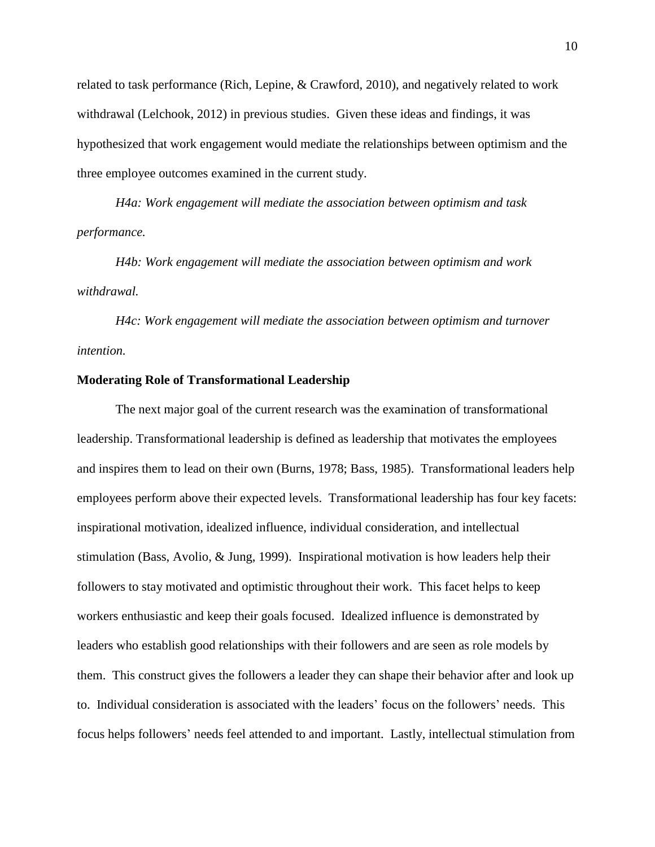related to task performance (Rich, Lepine, & Crawford, 2010), and negatively related to work withdrawal (Lelchook, 2012) in previous studies. Given these ideas and findings, it was hypothesized that work engagement would mediate the relationships between optimism and the three employee outcomes examined in the current study.

*H4a: Work engagement will mediate the association between optimism and task performance.*

*H4b: Work engagement will mediate the association between optimism and work withdrawal.*

*H4c: Work engagement will mediate the association between optimism and turnover intention.*

#### **Moderating Role of Transformational Leadership**

The next major goal of the current research was the examination of transformational leadership. Transformational leadership is defined as leadership that motivates the employees and inspires them to lead on their own (Burns, 1978; Bass, 1985). Transformational leaders help employees perform above their expected levels. Transformational leadership has four key facets: inspirational motivation, idealized influence, individual consideration, and intellectual stimulation (Bass, Avolio, & Jung, 1999). Inspirational motivation is how leaders help their followers to stay motivated and optimistic throughout their work. This facet helps to keep workers enthusiastic and keep their goals focused. Idealized influence is demonstrated by leaders who establish good relationships with their followers and are seen as role models by them. This construct gives the followers a leader they can shape their behavior after and look up to. Individual consideration is associated with the leaders' focus on the followers' needs. This focus helps followers' needs feel attended to and important. Lastly, intellectual stimulation from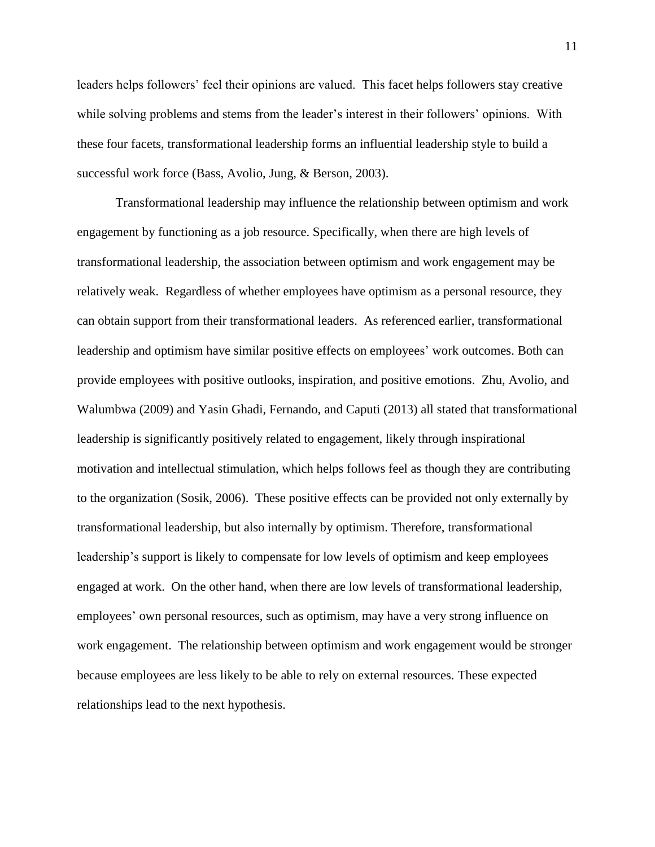leaders helps followers' feel their opinions are valued. This facet helps followers stay creative while solving problems and stems from the leader's interest in their followers' opinions. With these four facets, transformational leadership forms an influential leadership style to build a successful work force (Bass, Avolio, Jung, & Berson, 2003).

Transformational leadership may influence the relationship between optimism and work engagement by functioning as a job resource. Specifically, when there are high levels of transformational leadership, the association between optimism and work engagement may be relatively weak. Regardless of whether employees have optimism as a personal resource, they can obtain support from their transformational leaders. As referenced earlier, transformational leadership and optimism have similar positive effects on employees' work outcomes. Both can provide employees with positive outlooks, inspiration, and positive emotions. Zhu, Avolio, and Walumbwa (2009) and Yasin Ghadi, Fernando, and Caputi (2013) all stated that transformational leadership is significantly positively related to engagement, likely through inspirational motivation and intellectual stimulation, which helps follows feel as though they are contributing to the organization (Sosik, 2006). These positive effects can be provided not only externally by transformational leadership, but also internally by optimism. Therefore, transformational leadership's support is likely to compensate for low levels of optimism and keep employees engaged at work. On the other hand, when there are low levels of transformational leadership, employees' own personal resources, such as optimism, may have a very strong influence on work engagement. The relationship between optimism and work engagement would be stronger because employees are less likely to be able to rely on external resources. These expected relationships lead to the next hypothesis.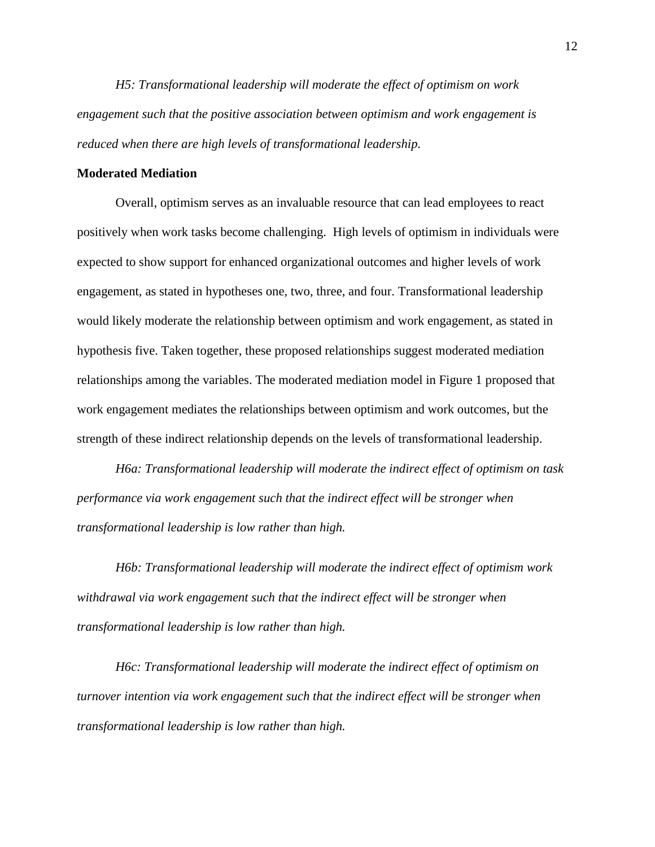*H5: Transformational leadership will moderate the effect of optimism on work engagement such that the positive association between optimism and work engagement is reduced when there are high levels of transformational leadership.*

#### **Moderated Mediation**

Overall, optimism serves as an invaluable resource that can lead employees to react positively when work tasks become challenging. High levels of optimism in individuals were expected to show support for enhanced organizational outcomes and higher levels of work engagement, as stated in hypotheses one, two, three, and four. Transformational leadership would likely moderate the relationship between optimism and work engagement, as stated in hypothesis five. Taken together, these proposed relationships suggest moderated mediation relationships among the variables. The moderated mediation model in Figure 1 proposed that work engagement mediates the relationships between optimism and work outcomes, but the strength of these indirect relationship depends on the levels of transformational leadership.

*H6a: Transformational leadership will moderate the indirect effect of optimism on task performance via work engagement such that the indirect effect will be stronger when transformational leadership is low rather than high.*

*H6b: Transformational leadership will moderate the indirect effect of optimism work withdrawal via work engagement such that the indirect effect will be stronger when transformational leadership is low rather than high.*

*H6c: Transformational leadership will moderate the indirect effect of optimism on turnover intention via work engagement such that the indirect effect will be stronger when transformational leadership is low rather than high.*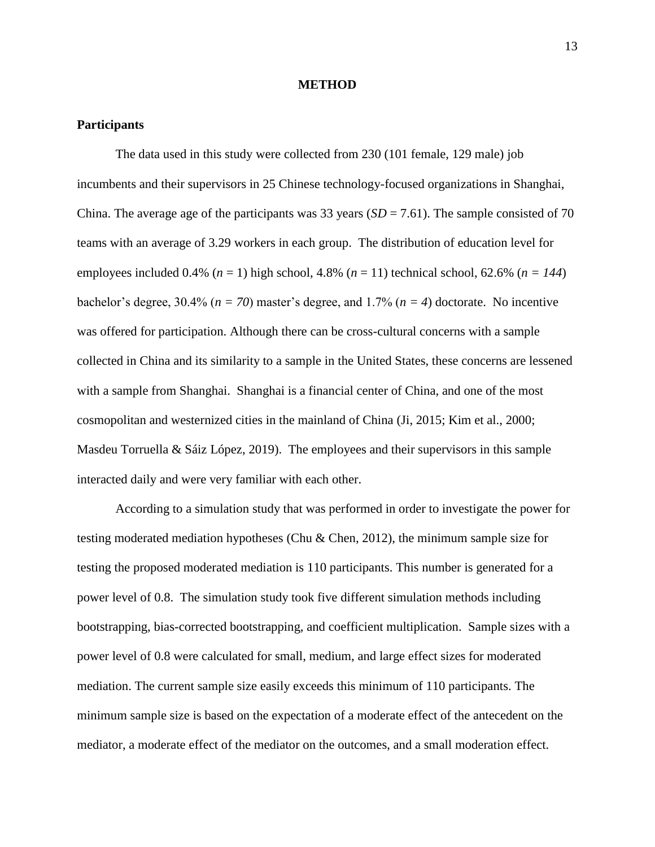#### **METHOD**

#### **Participants**

The data used in this study were collected from 230 (101 female, 129 male) job incumbents and their supervisors in 25 Chinese technology-focused organizations in Shanghai, China. The average age of the participants was 33 years  $(SD = 7.61)$ . The sample consisted of 70 teams with an average of 3.29 workers in each group. The distribution of education level for employees included 0.4% ( $n = 1$ ) high school, 4.8% ( $n = 11$ ) technical school, 62.6% ( $n = 144$ ) bachelor's degree, 30.4% (*n = 70*) master's degree, and 1.7% (*n = 4*) doctorate. No incentive was offered for participation. Although there can be cross-cultural concerns with a sample collected in China and its similarity to a sample in the United States, these concerns are lessened with a sample from Shanghai. Shanghai is a financial center of China, and one of the most cosmopolitan and westernized cities in the mainland of China (Ji, 2015; Kim et al., 2000; Masdeu Torruella & Sáiz López, 2019). The employees and their supervisors in this sample interacted daily and were very familiar with each other.

According to a simulation study that was performed in order to investigate the power for testing moderated mediation hypotheses (Chu & Chen, 2012), the minimum sample size for testing the proposed moderated mediation is 110 participants. This number is generated for a power level of 0.8. The simulation study took five different simulation methods including bootstrapping, bias-corrected bootstrapping, and coefficient multiplication. Sample sizes with a power level of 0.8 were calculated for small, medium, and large effect sizes for moderated mediation. The current sample size easily exceeds this minimum of 110 participants. The minimum sample size is based on the expectation of a moderate effect of the antecedent on the mediator, a moderate effect of the mediator on the outcomes, and a small moderation effect.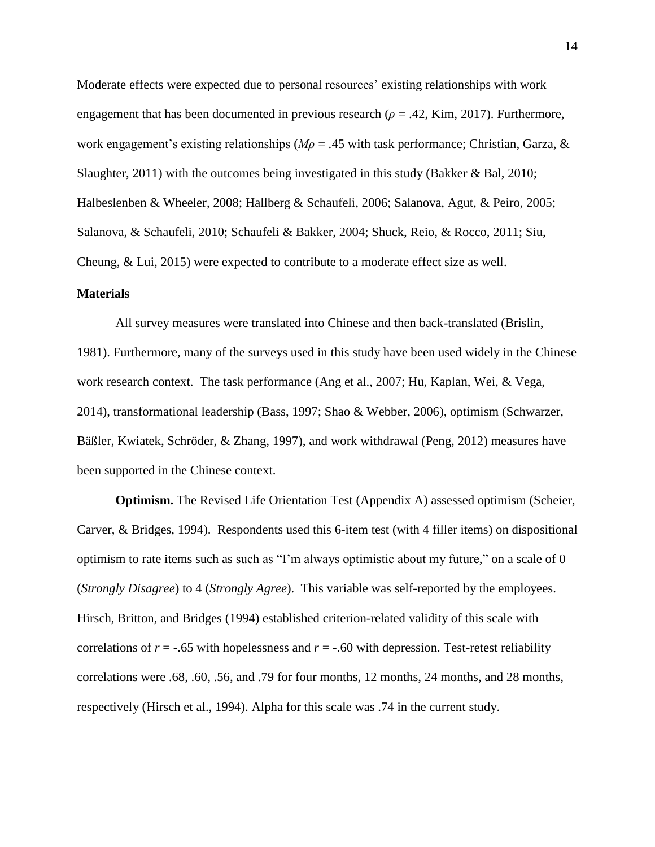Moderate effects were expected due to personal resources' existing relationships with work engagement that has been documented in previous research (*ρ* = .42, Kim, 2017). Furthermore, work engagement's existing relationships (*Mρ* = .45 with task performance; Christian, Garza, & Slaughter, 2011) with the outcomes being investigated in this study (Bakker & Bal, 2010; Halbeslenben & Wheeler, 2008; Hallberg & Schaufeli, 2006; Salanova, Agut, & Peiro, 2005; Salanova, & Schaufeli, 2010; Schaufeli & Bakker, 2004; Shuck, Reio, & Rocco, 2011; Siu, Cheung, & Lui, 2015) were expected to contribute to a moderate effect size as well.

#### **Materials**

All survey measures were translated into Chinese and then back-translated (Brislin, 1981). Furthermore, many of the surveys used in this study have been used widely in the Chinese work research context. The task performance (Ang et al., 2007; Hu, Kaplan, Wei, & Vega, 2014), transformational leadership (Bass, 1997; Shao & Webber, 2006), optimism (Schwarzer, Bäßler, Kwiatek, Schröder, & Zhang, 1997), and work withdrawal (Peng, 2012) measures have been supported in the Chinese context.

**Optimism.** The Revised Life Orientation Test (Appendix A) assessed optimism (Scheier, Carver, & Bridges, 1994). Respondents used this 6-item test (with 4 filler items) on dispositional optimism to rate items such as such as "I'm always optimistic about my future," on a scale of 0 (*Strongly Disagree*) to 4 (*Strongly Agree*). This variable was self-reported by the employees. Hirsch, Britton, and Bridges (1994) established criterion-related validity of this scale with correlations of  $r = -.65$  with hopelessness and  $r = -.60$  with depression. Test-retest reliability correlations were .68, .60, .56, and .79 for four months, 12 months, 24 months, and 28 months, respectively (Hirsch et al., 1994). Alpha for this scale was .74 in the current study.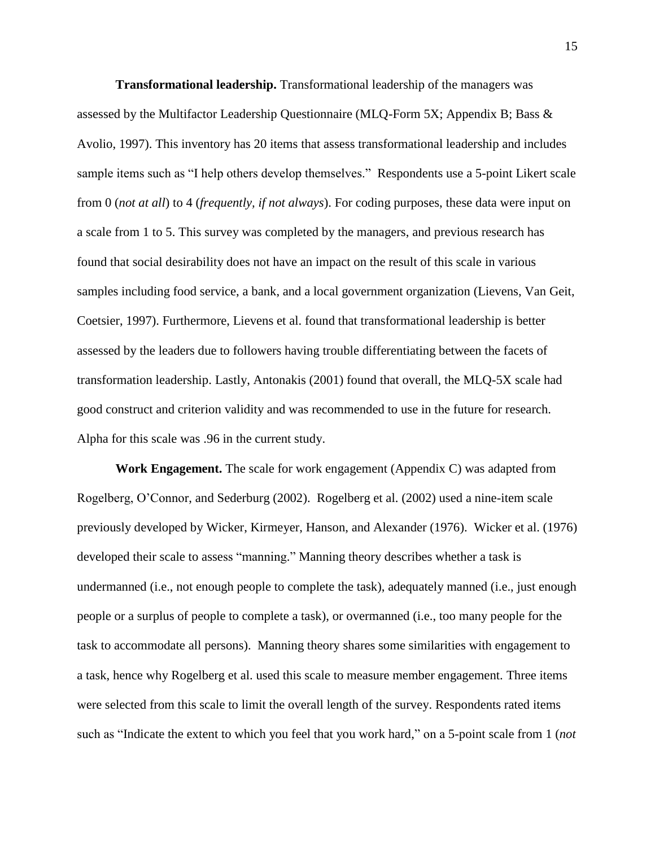**Transformational leadership.** Transformational leadership of the managers was assessed by the Multifactor Leadership Questionnaire (MLQ-Form 5X; Appendix B; Bass & Avolio, 1997). This inventory has 20 items that assess transformational leadership and includes sample items such as "I help others develop themselves." Respondents use a 5-point Likert scale from 0 (*not at all*) to 4 (*frequently, if not always*). For coding purposes, these data were input on a scale from 1 to 5. This survey was completed by the managers, and previous research has found that social desirability does not have an impact on the result of this scale in various samples including food service, a bank, and a local government organization (Lievens, Van Geit, Coetsier, 1997). Furthermore, Lievens et al. found that transformational leadership is better assessed by the leaders due to followers having trouble differentiating between the facets of transformation leadership. Lastly, Antonakis (2001) found that overall, the MLQ-5X scale had good construct and criterion validity and was recommended to use in the future for research. Alpha for this scale was .96 in the current study.

**Work Engagement.** The scale for work engagement (Appendix C) was adapted from Rogelberg, O'Connor, and Sederburg (2002). Rogelberg et al. (2002) used a nine-item scale previously developed by Wicker, Kirmeyer, Hanson, and Alexander (1976). Wicker et al. (1976) developed their scale to assess "manning." Manning theory describes whether a task is undermanned (i.e., not enough people to complete the task), adequately manned (i.e., just enough people or a surplus of people to complete a task), or overmanned (i.e., too many people for the task to accommodate all persons). Manning theory shares some similarities with engagement to a task, hence why Rogelberg et al. used this scale to measure member engagement. Three items were selected from this scale to limit the overall length of the survey. Respondents rated items such as "Indicate the extent to which you feel that you work hard," on a 5-point scale from 1 (*not*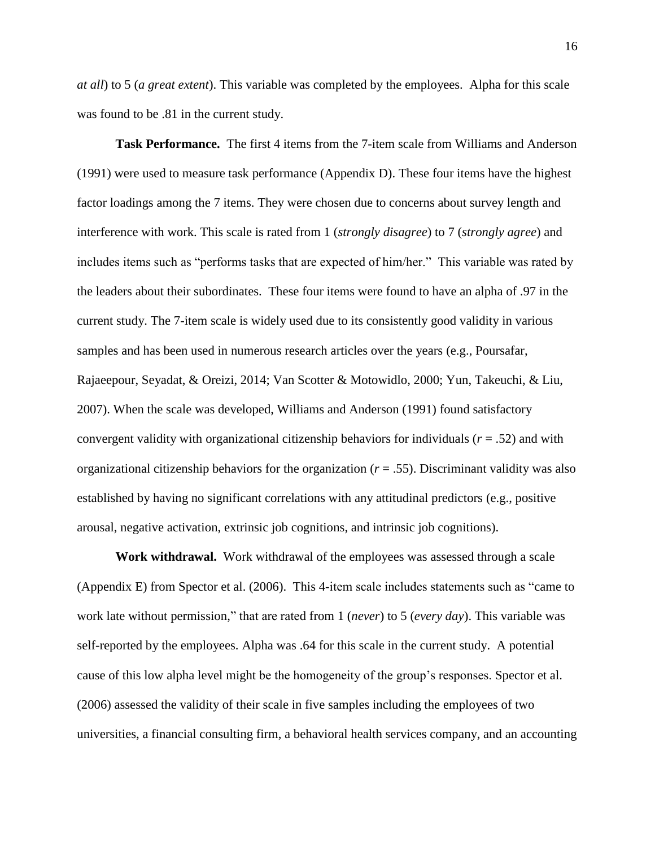*at all*) to 5 (*a great extent*). This variable was completed by the employees. Alpha for this scale was found to be .81 in the current study.

**Task Performance.** The first 4 items from the 7-item scale from Williams and Anderson (1991) were used to measure task performance (Appendix D). These four items have the highest factor loadings among the 7 items. They were chosen due to concerns about survey length and interference with work. This scale is rated from 1 (*strongly disagree*) to 7 (*strongly agree*) and includes items such as "performs tasks that are expected of him/her." This variable was rated by the leaders about their subordinates. These four items were found to have an alpha of .97 in the current study. The 7-item scale is widely used due to its consistently good validity in various samples and has been used in numerous research articles over the years (e.g., Poursafar, Rajaeepour, Seyadat, & Oreizi, 2014; Van Scotter & Motowidlo, 2000; Yun, Takeuchi, & Liu, 2007). When the scale was developed, Williams and Anderson (1991) found satisfactory convergent validity with organizational citizenship behaviors for individuals (*r* = .52) and with organizational citizenship behaviors for the organization (*r* = .55). Discriminant validity was also established by having no significant correlations with any attitudinal predictors (e.g., positive arousal, negative activation, extrinsic job cognitions, and intrinsic job cognitions).

**Work withdrawal.** Work withdrawal of the employees was assessed through a scale (Appendix E) from Spector et al. (2006). This 4-item scale includes statements such as "came to work late without permission," that are rated from 1 (*never*) to 5 (*every day*). This variable was self-reported by the employees. Alpha was .64 for this scale in the current study. A potential cause of this low alpha level might be the homogeneity of the group's responses. Spector et al. (2006) assessed the validity of their scale in five samples including the employees of two universities, a financial consulting firm, a behavioral health services company, and an accounting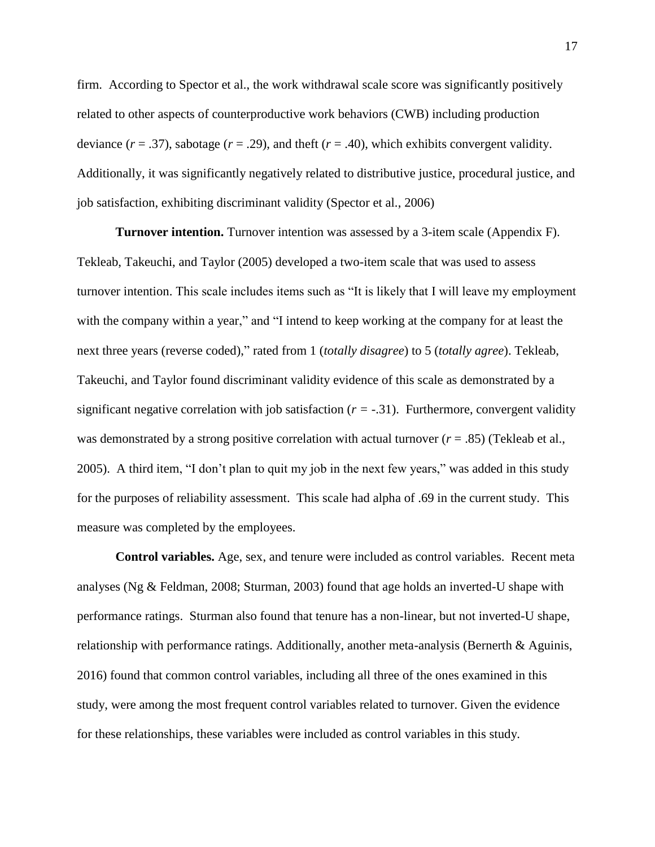firm. According to Spector et al., the work withdrawal scale score was significantly positively related to other aspects of counterproductive work behaviors (CWB) including production deviance  $(r = .37)$ , sabotage  $(r = .29)$ , and theft  $(r = .40)$ , which exhibits convergent validity. Additionally, it was significantly negatively related to distributive justice, procedural justice, and job satisfaction, exhibiting discriminant validity (Spector et al., 2006)

**Turnover intention.** Turnover intention was assessed by a 3-item scale (Appendix F). Tekleab, Takeuchi, and Taylor (2005) developed a two-item scale that was used to assess turnover intention. This scale includes items such as "It is likely that I will leave my employment with the company within a year," and "I intend to keep working at the company for at least the next three years (reverse coded)," rated from 1 (*totally disagree*) to 5 (*totally agree*). Tekleab, Takeuchi, and Taylor found discriminant validity evidence of this scale as demonstrated by a significant negative correlation with job satisfaction  $(r = -0.31)$ . Furthermore, convergent validity was demonstrated by a strong positive correlation with actual turnover ( $r = .85$ ) (Tekleab et al., 2005). A third item, "I don't plan to quit my job in the next few years," was added in this study for the purposes of reliability assessment. This scale had alpha of .69 in the current study. This measure was completed by the employees.

**Control variables.** Age, sex, and tenure were included as control variables. Recent meta analyses (Ng & Feldman, 2008; Sturman, 2003) found that age holds an inverted-U shape with performance ratings. Sturman also found that tenure has a non-linear, but not inverted-U shape, relationship with performance ratings. Additionally, another meta-analysis (Bernerth & Aguinis, 2016) found that common control variables, including all three of the ones examined in this study, were among the most frequent control variables related to turnover. Given the evidence for these relationships, these variables were included as control variables in this study.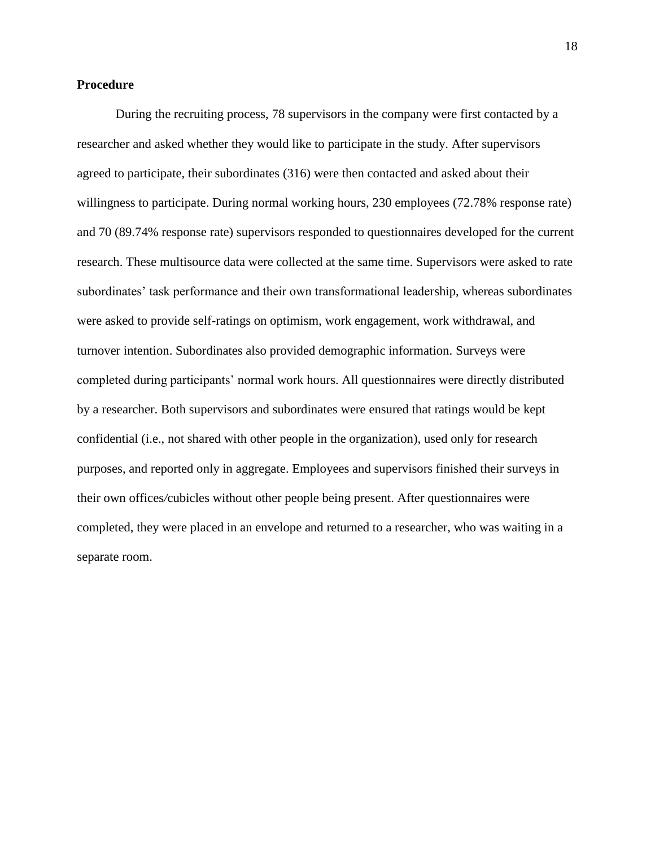#### **Procedure**

During the recruiting process, 78 supervisors in the company were first contacted by a researcher and asked whether they would like to participate in the study. After supervisors agreed to participate, their subordinates (316) were then contacted and asked about their willingness to participate. During normal working hours, 230 employees (72.78% response rate) and 70 (89.74% response rate) supervisors responded to questionnaires developed for the current research. These multisource data were collected at the same time. Supervisors were asked to rate subordinates' task performance and their own transformational leadership, whereas subordinates were asked to provide self-ratings on optimism, work engagement, work withdrawal, and turnover intention. Subordinates also provided demographic information. Surveys were completed during participants' normal work hours. All questionnaires were directly distributed by a researcher. Both supervisors and subordinates were ensured that ratings would be kept confidential (i.e., not shared with other people in the organization), used only for research purposes, and reported only in aggregate. Employees and supervisors finished their surveys in their own offices*/*cubicles without other people being present. After questionnaires were completed, they were placed in an envelope and returned to a researcher, who was waiting in a separate room.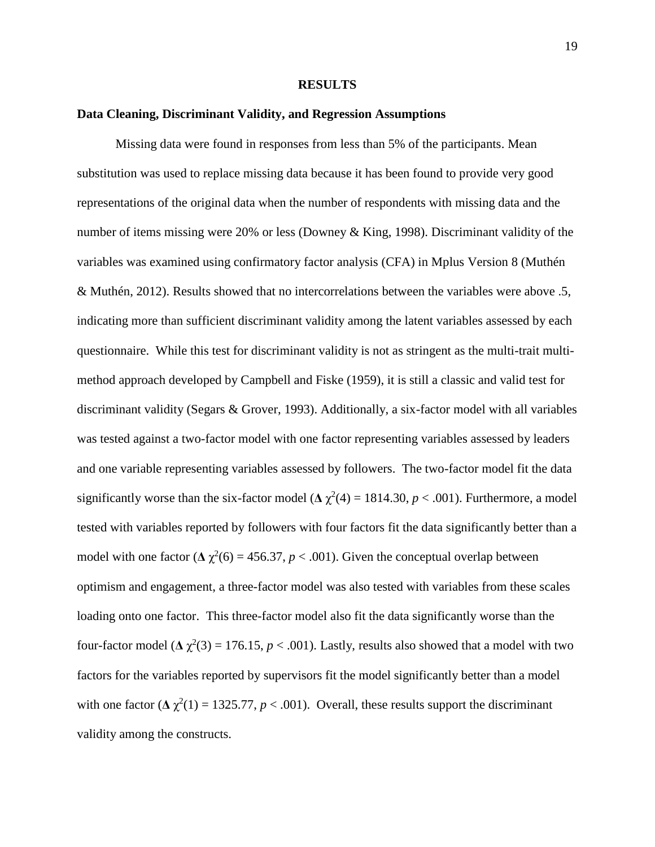#### **RESULTS**

#### **Data Cleaning, Discriminant Validity, and Regression Assumptions**

Missing data were found in responses from less than 5% of the participants. Mean substitution was used to replace missing data because it has been found to provide very good representations of the original data when the number of respondents with missing data and the number of items missing were 20% or less (Downey & King, 1998). Discriminant validity of the variables was examined using confirmatory factor analysis (CFA) in Mplus Version 8 (Muthén & Muthén, 2012). Results showed that no intercorrelations between the variables were above .5, indicating more than sufficient discriminant validity among the latent variables assessed by each questionnaire. While this test for discriminant validity is not as stringent as the multi-trait multimethod approach developed by Campbell and Fiske (1959), it is still a classic and valid test for discriminant validity (Segars & Grover, 1993). Additionally, a six-factor model with all variables was tested against a two-factor model with one factor representing variables assessed by leaders and one variable representing variables assessed by followers. The two-factor model fit the data significantly worse than the six-factor model ( $\Delta \chi^2(4) = 1814.30$ ,  $p < .001$ ). Furthermore, a model tested with variables reported by followers with four factors fit the data significantly better than a model with one factor ( $\Delta \chi^2(6) = 456.37$ ,  $p < .001$ ). Given the conceptual overlap between optimism and engagement, a three-factor model was also tested with variables from these scales loading onto one factor. This three-factor model also fit the data significantly worse than the four-factor model ( $\Delta \chi^2(3) = 176.15$ ,  $p < .001$ ). Lastly, results also showed that a model with two factors for the variables reported by supervisors fit the model significantly better than a model with one factor  $(\Delta \chi^2(1) = 1325.77, p < .001)$ . Overall, these results support the discriminant validity among the constructs.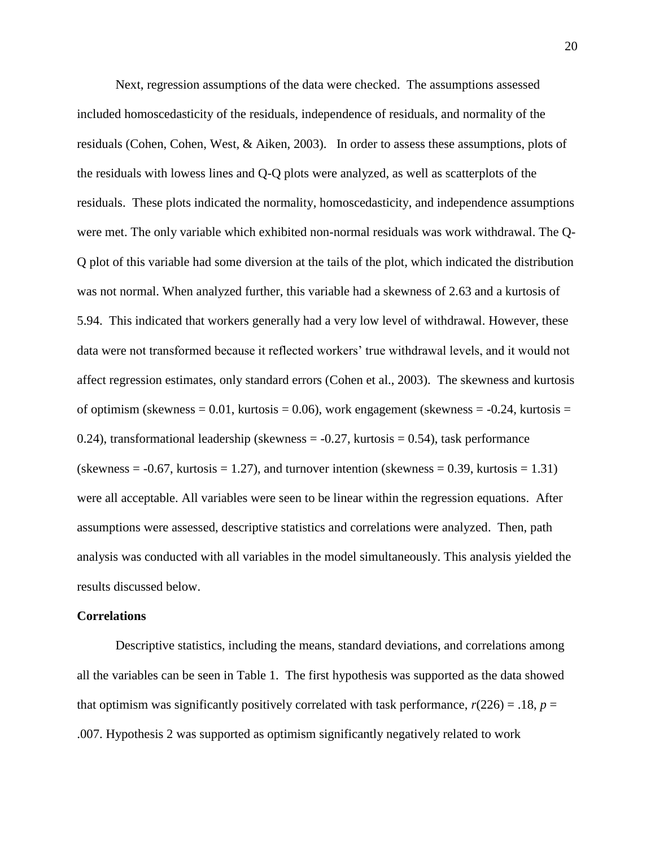Next, regression assumptions of the data were checked. The assumptions assessed included homoscedasticity of the residuals, independence of residuals, and normality of the residuals (Cohen, Cohen, West, & Aiken, 2003). In order to assess these assumptions, plots of the residuals with lowess lines and Q-Q plots were analyzed, as well as scatterplots of the residuals. These plots indicated the normality, homoscedasticity, and independence assumptions were met. The only variable which exhibited non-normal residuals was work withdrawal. The Q-Q plot of this variable had some diversion at the tails of the plot, which indicated the distribution was not normal. When analyzed further, this variable had a skewness of 2.63 and a kurtosis of 5.94. This indicated that workers generally had a very low level of withdrawal. However, these data were not transformed because it reflected workers' true withdrawal levels, and it would not affect regression estimates, only standard errors (Cohen et al., 2003). The skewness and kurtosis of optimism (skewness =  $0.01$ , kurtosis =  $0.06$ ), work engagement (skewness =  $-0.24$ , kurtosis = 0.24), transformational leadership (skewness  $= -0.27$ , kurtosis  $= 0.54$ ), task performance (skewness  $= -0.67$ , kurtosis  $= 1.27$ ), and turnover intention (skewness  $= 0.39$ , kurtosis  $= 1.31$ ) were all acceptable. All variables were seen to be linear within the regression equations. After assumptions were assessed, descriptive statistics and correlations were analyzed. Then, path analysis was conducted with all variables in the model simultaneously. This analysis yielded the results discussed below.

#### **Correlations**

Descriptive statistics, including the means, standard deviations, and correlations among all the variables can be seen in Table 1.The first hypothesis was supported as the data showed that optimism was significantly positively correlated with task performance,  $r(226) = .18$ ,  $p =$ .007. Hypothesis 2 was supported as optimism significantly negatively related to work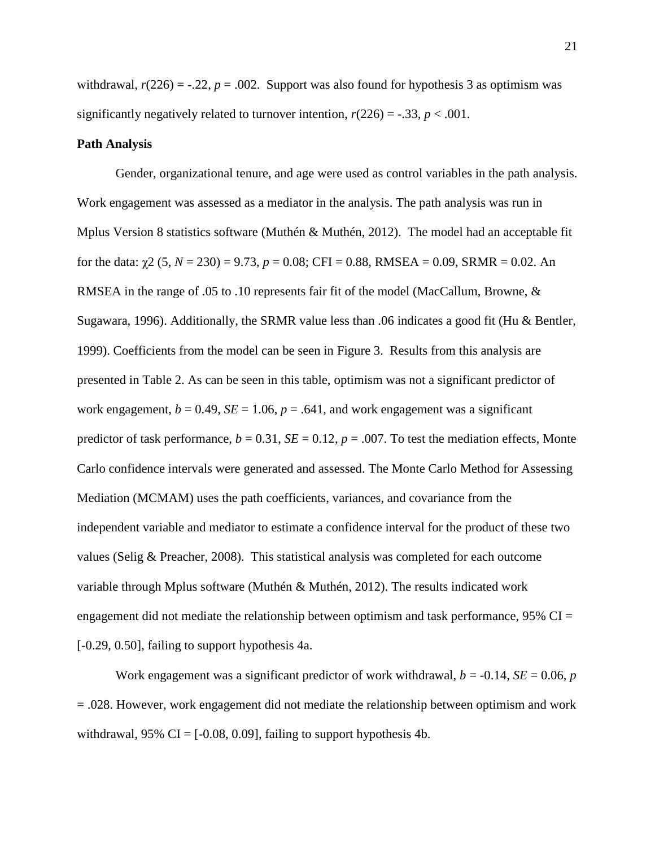withdrawal,  $r(226) = -0.22$ ,  $p = 0.002$ . Support was also found for hypothesis 3 as optimism was significantly negatively related to turnover intention,  $r(226) = -.33$ ,  $p < .001$ .

#### **Path Analysis**

Gender, organizational tenure, and age were used as control variables in the path analysis. Work engagement was assessed as a mediator in the analysis. The path analysis was run in Mplus Version 8 statistics software (Muthén & Muthén, 2012). The model had an acceptable fit for the data:  $\gamma$ 2 (5, *N* = 230) = 9.73, *p* = 0.08; CFI = 0.88, RMSEA = 0.09, SRMR = 0.02. An RMSEA in the range of .05 to .10 represents fair fit of the model (MacCallum, Browne, & Sugawara, 1996). Additionally, the SRMR value less than .06 indicates a good fit (Hu & Bentler, 1999). Coefficients from the model can be seen in Figure 3. Results from this analysis are presented in Table 2. As can be seen in this table, optimism was not a significant predictor of work engagement,  $b = 0.49$ ,  $SE = 1.06$ ,  $p = .641$ , and work engagement was a significant predictor of task performance,  $b = 0.31$ ,  $SE = 0.12$ ,  $p = .007$ . To test the mediation effects, Monte Carlo confidence intervals were generated and assessed. The Monte Carlo Method for Assessing Mediation (MCMAM) uses the path coefficients, variances, and covariance from the independent variable and mediator to estimate a confidence interval for the product of these two values (Selig & Preacher, 2008). This statistical analysis was completed for each outcome variable through Mplus software (Muthén & Muthén, 2012). The results indicated work engagement did not mediate the relationship between optimism and task performance, 95% CI = [-0.29, 0.50], failing to support hypothesis 4a.

Work engagement was a significant predictor of work withdrawal,  $b = -0.14$ ,  $SE = 0.06$ ,  $p$ = .028. However, work engagement did not mediate the relationship between optimism and work withdrawal,  $95\%$  CI = [-0.08, 0.09], failing to support hypothesis 4b.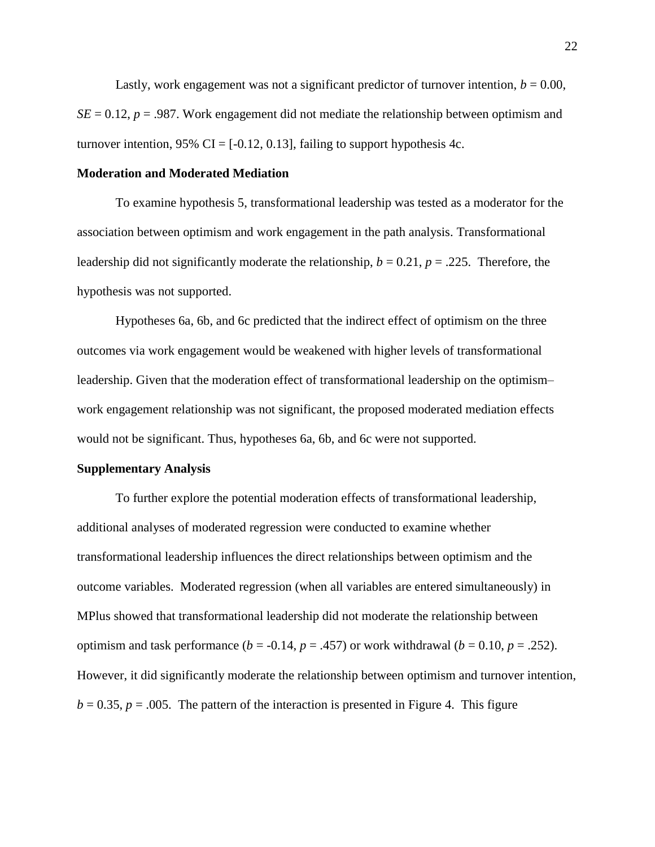Lastly, work engagement was not a significant predictor of turnover intention,  $b = 0.00$ ,  $SE = 0.12$ ,  $p = .987$ . Work engagement did not mediate the relationship between optimism and turnover intention, 95% CI =  $[-0.12, 0.13]$ , failing to support hypothesis 4c.

#### **Moderation and Moderated Mediation**

To examine hypothesis 5, transformational leadership was tested as a moderator for the association between optimism and work engagement in the path analysis. Transformational leadership did not significantly moderate the relationship,  $b = 0.21$ ,  $p = .225$ . Therefore, the hypothesis was not supported.

Hypotheses 6a, 6b, and 6c predicted that the indirect effect of optimism on the three outcomes via work engagement would be weakened with higher levels of transformational leadership. Given that the moderation effect of transformational leadership on the optimism– work engagement relationship was not significant, the proposed moderated mediation effects would not be significant. Thus, hypotheses 6a, 6b, and 6c were not supported.

#### **Supplementary Analysis**

To further explore the potential moderation effects of transformational leadership, additional analyses of moderated regression were conducted to examine whether transformational leadership influences the direct relationships between optimism and the outcome variables. Moderated regression (when all variables are entered simultaneously) in MPlus showed that transformational leadership did not moderate the relationship between optimism and task performance  $(b = -0.14, p = .457)$  or work withdrawal  $(b = 0.10, p = .252)$ . However, it did significantly moderate the relationship between optimism and turnover intention,  $b = 0.35$ ,  $p = .005$ . The pattern of the interaction is presented in Figure 4. This figure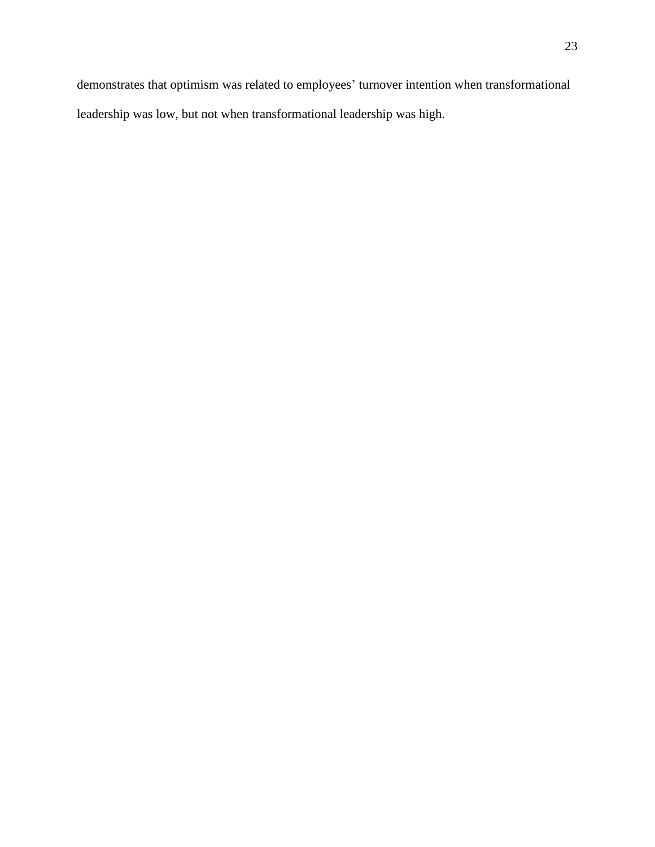demonstrates that optimism was related to employees' turnover intention when transformational leadership was low, but not when transformational leadership was high.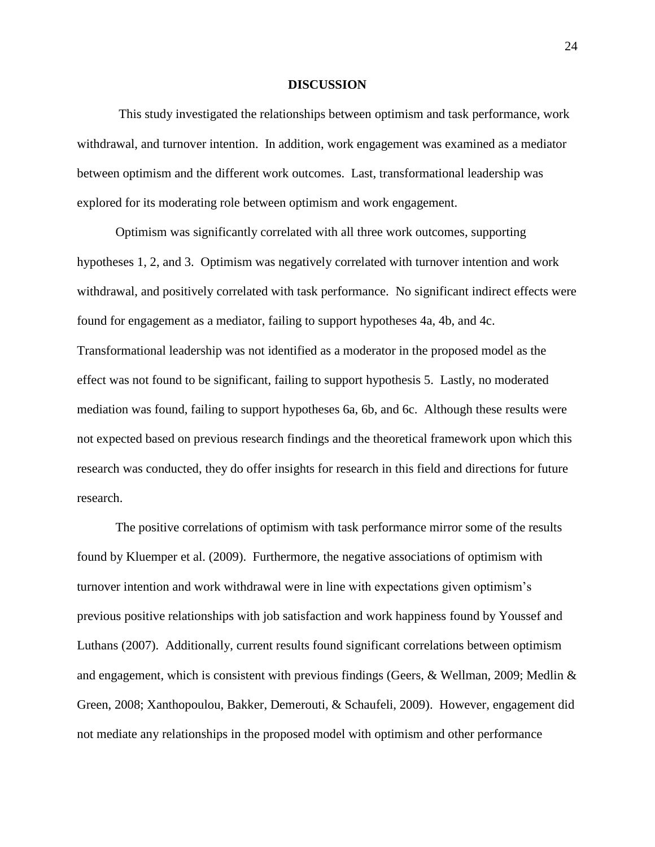#### **DISCUSSION**

This study investigated the relationships between optimism and task performance, work withdrawal, and turnover intention. In addition, work engagement was examined as a mediator between optimism and the different work outcomes. Last, transformational leadership was explored for its moderating role between optimism and work engagement.

Optimism was significantly correlated with all three work outcomes, supporting hypotheses 1, 2, and 3. Optimism was negatively correlated with turnover intention and work withdrawal, and positively correlated with task performance. No significant indirect effects were found for engagement as a mediator, failing to support hypotheses 4a, 4b, and 4c. Transformational leadership was not identified as a moderator in the proposed model as the effect was not found to be significant, failing to support hypothesis 5. Lastly, no moderated mediation was found, failing to support hypotheses 6a, 6b, and 6c. Although these results were not expected based on previous research findings and the theoretical framework upon which this research was conducted, they do offer insights for research in this field and directions for future research.

The positive correlations of optimism with task performance mirror some of the results found by Kluemper et al. (2009). Furthermore, the negative associations of optimism with turnover intention and work withdrawal were in line with expectations given optimism's previous positive relationships with job satisfaction and work happiness found by Youssef and Luthans (2007). Additionally, current results found significant correlations between optimism and engagement, which is consistent with previous findings (Geers, & Wellman, 2009; Medlin & Green, 2008; Xanthopoulou, Bakker, Demerouti, & Schaufeli, 2009). However, engagement did not mediate any relationships in the proposed model with optimism and other performance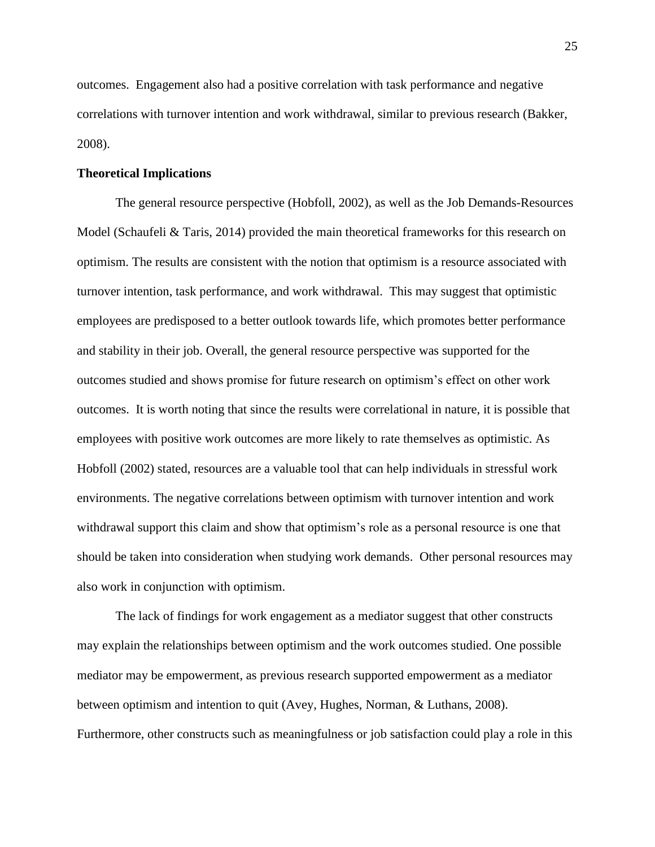outcomes. Engagement also had a positive correlation with task performance and negative correlations with turnover intention and work withdrawal, similar to previous research (Bakker, 2008).

#### **Theoretical Implications**

The general resource perspective (Hobfoll, 2002), as well as the Job Demands-Resources Model (Schaufeli & Taris, 2014) provided the main theoretical frameworks for this research on optimism. The results are consistent with the notion that optimism is a resource associated with turnover intention, task performance, and work withdrawal. This may suggest that optimistic employees are predisposed to a better outlook towards life, which promotes better performance and stability in their job. Overall, the general resource perspective was supported for the outcomes studied and shows promise for future research on optimism's effect on other work outcomes. It is worth noting that since the results were correlational in nature, it is possible that employees with positive work outcomes are more likely to rate themselves as optimistic. As Hobfoll (2002) stated, resources are a valuable tool that can help individuals in stressful work environments. The negative correlations between optimism with turnover intention and work withdrawal support this claim and show that optimism's role as a personal resource is one that should be taken into consideration when studying work demands. Other personal resources may also work in conjunction with optimism.

The lack of findings for work engagement as a mediator suggest that other constructs may explain the relationships between optimism and the work outcomes studied. One possible mediator may be empowerment, as previous research supported empowerment as a mediator between optimism and intention to quit (Avey, Hughes, Norman, & Luthans, 2008). Furthermore, other constructs such as meaningfulness or job satisfaction could play a role in this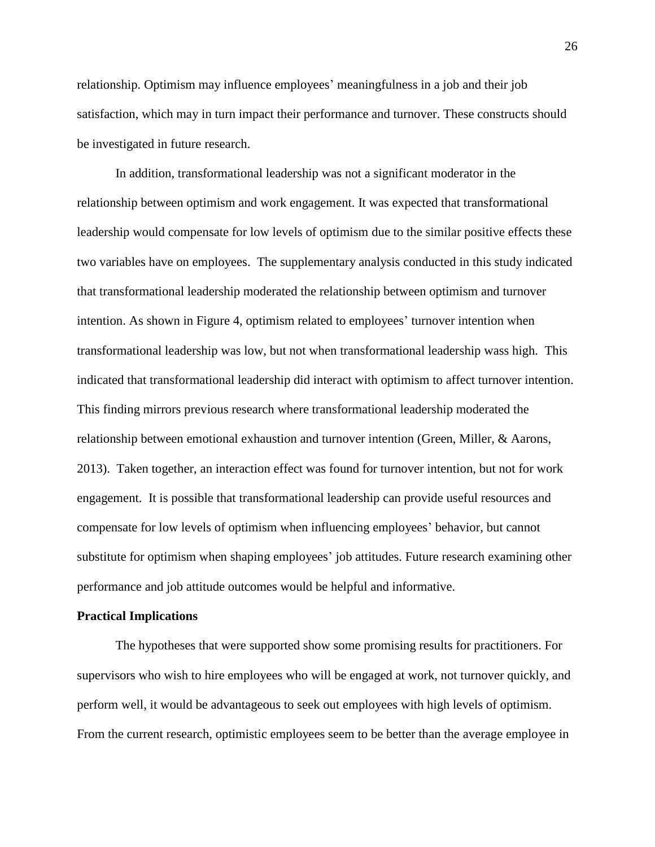relationship. Optimism may influence employees' meaningfulness in a job and their job satisfaction, which may in turn impact their performance and turnover. These constructs should be investigated in future research.

In addition, transformational leadership was not a significant moderator in the relationship between optimism and work engagement. It was expected that transformational leadership would compensate for low levels of optimism due to the similar positive effects these two variables have on employees. The supplementary analysis conducted in this study indicated that transformational leadership moderated the relationship between optimism and turnover intention. As shown in Figure 4, optimism related to employees' turnover intention when transformational leadership was low, but not when transformational leadership wass high. This indicated that transformational leadership did interact with optimism to affect turnover intention. This finding mirrors previous research where transformational leadership moderated the relationship between emotional exhaustion and turnover intention (Green, Miller, & Aarons, 2013). Taken together, an interaction effect was found for turnover intention, but not for work engagement. It is possible that transformational leadership can provide useful resources and compensate for low levels of optimism when influencing employees' behavior, but cannot substitute for optimism when shaping employees' job attitudes. Future research examining other performance and job attitude outcomes would be helpful and informative.

#### **Practical Implications**

The hypotheses that were supported show some promising results for practitioners. For supervisors who wish to hire employees who will be engaged at work, not turnover quickly, and perform well, it would be advantageous to seek out employees with high levels of optimism. From the current research, optimistic employees seem to be better than the average employee in

26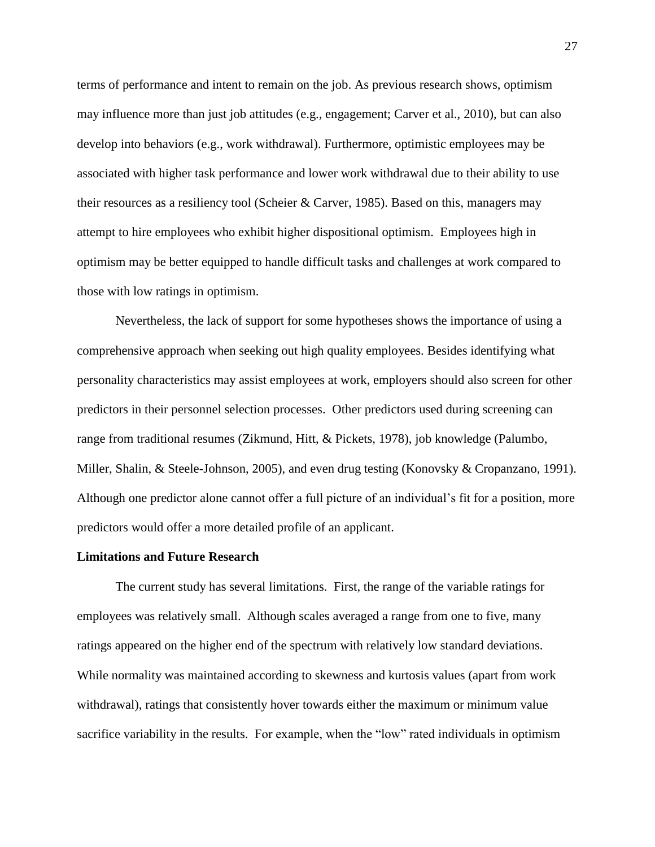terms of performance and intent to remain on the job. As previous research shows, optimism may influence more than just job attitudes (e.g., engagement; Carver et al., 2010), but can also develop into behaviors (e.g., work withdrawal). Furthermore, optimistic employees may be associated with higher task performance and lower work withdrawal due to their ability to use their resources as a resiliency tool (Scheier & Carver, 1985). Based on this, managers may attempt to hire employees who exhibit higher dispositional optimism. Employees high in optimism may be better equipped to handle difficult tasks and challenges at work compared to those with low ratings in optimism.

Nevertheless, the lack of support for some hypotheses shows the importance of using a comprehensive approach when seeking out high quality employees. Besides identifying what personality characteristics may assist employees at work, employers should also screen for other predictors in their personnel selection processes. Other predictors used during screening can range from traditional resumes (Zikmund, Hitt, & Pickets, 1978), job knowledge (Palumbo, Miller, Shalin, & Steele-Johnson, 2005), and even drug testing (Konovsky & Cropanzano, 1991). Although one predictor alone cannot offer a full picture of an individual's fit for a position, more predictors would offer a more detailed profile of an applicant.

#### **Limitations and Future Research**

The current study has several limitations. First, the range of the variable ratings for employees was relatively small. Although scales averaged a range from one to five, many ratings appeared on the higher end of the spectrum with relatively low standard deviations. While normality was maintained according to skewness and kurtosis values (apart from work withdrawal), ratings that consistently hover towards either the maximum or minimum value sacrifice variability in the results. For example, when the "low" rated individuals in optimism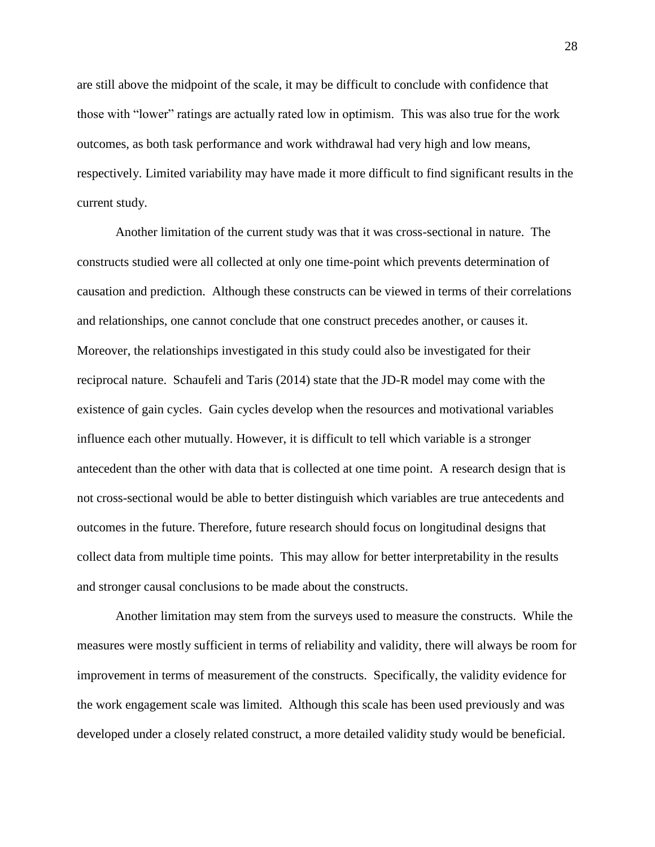are still above the midpoint of the scale, it may be difficult to conclude with confidence that those with "lower" ratings are actually rated low in optimism. This was also true for the work outcomes, as both task performance and work withdrawal had very high and low means, respectively. Limited variability may have made it more difficult to find significant results in the current study.

Another limitation of the current study was that it was cross-sectional in nature. The constructs studied were all collected at only one time-point which prevents determination of causation and prediction. Although these constructs can be viewed in terms of their correlations and relationships, one cannot conclude that one construct precedes another, or causes it. Moreover, the relationships investigated in this study could also be investigated for their reciprocal nature. Schaufeli and Taris (2014) state that the JD-R model may come with the existence of gain cycles. Gain cycles develop when the resources and motivational variables influence each other mutually. However, it is difficult to tell which variable is a stronger antecedent than the other with data that is collected at one time point. A research design that is not cross-sectional would be able to better distinguish which variables are true antecedents and outcomes in the future. Therefore, future research should focus on longitudinal designs that collect data from multiple time points. This may allow for better interpretability in the results and stronger causal conclusions to be made about the constructs.

Another limitation may stem from the surveys used to measure the constructs. While the measures were mostly sufficient in terms of reliability and validity, there will always be room for improvement in terms of measurement of the constructs. Specifically, the validity evidence for the work engagement scale was limited. Although this scale has been used previously and was developed under a closely related construct, a more detailed validity study would be beneficial.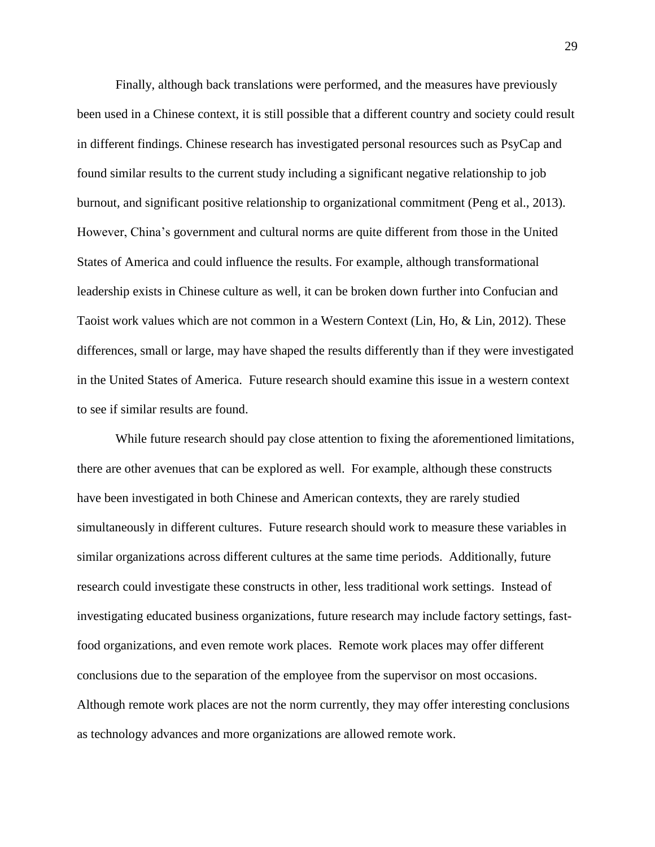Finally, although back translations were performed, and the measures have previously been used in a Chinese context, it is still possible that a different country and society could result in different findings. Chinese research has investigated personal resources such as PsyCap and found similar results to the current study including a significant negative relationship to job burnout, and significant positive relationship to organizational commitment (Peng et al., 2013). However, China's government and cultural norms are quite different from those in the United States of America and could influence the results. For example, although transformational leadership exists in Chinese culture as well, it can be broken down further into Confucian and Taoist work values which are not common in a Western Context (Lin, Ho, & Lin, 2012). These differences, small or large, may have shaped the results differently than if they were investigated in the United States of America. Future research should examine this issue in a western context to see if similar results are found.

While future research should pay close attention to fixing the aforementioned limitations, there are other avenues that can be explored as well. For example, although these constructs have been investigated in both Chinese and American contexts, they are rarely studied simultaneously in different cultures. Future research should work to measure these variables in similar organizations across different cultures at the same time periods. Additionally, future research could investigate these constructs in other, less traditional work settings. Instead of investigating educated business organizations, future research may include factory settings, fastfood organizations, and even remote work places. Remote work places may offer different conclusions due to the separation of the employee from the supervisor on most occasions. Although remote work places are not the norm currently, they may offer interesting conclusions as technology advances and more organizations are allowed remote work.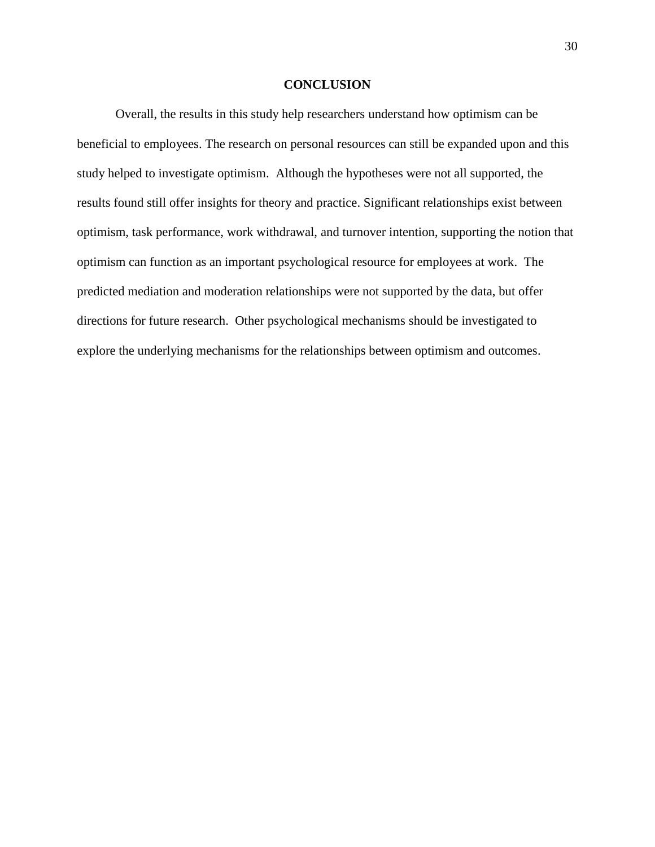#### **CONCLUSION**

Overall, the results in this study help researchers understand how optimism can be beneficial to employees. The research on personal resources can still be expanded upon and this study helped to investigate optimism. Although the hypotheses were not all supported, the results found still offer insights for theory and practice. Significant relationships exist between optimism, task performance, work withdrawal, and turnover intention, supporting the notion that optimism can function as an important psychological resource for employees at work. The predicted mediation and moderation relationships were not supported by the data, but offer directions for future research. Other psychological mechanisms should be investigated to explore the underlying mechanisms for the relationships between optimism and outcomes.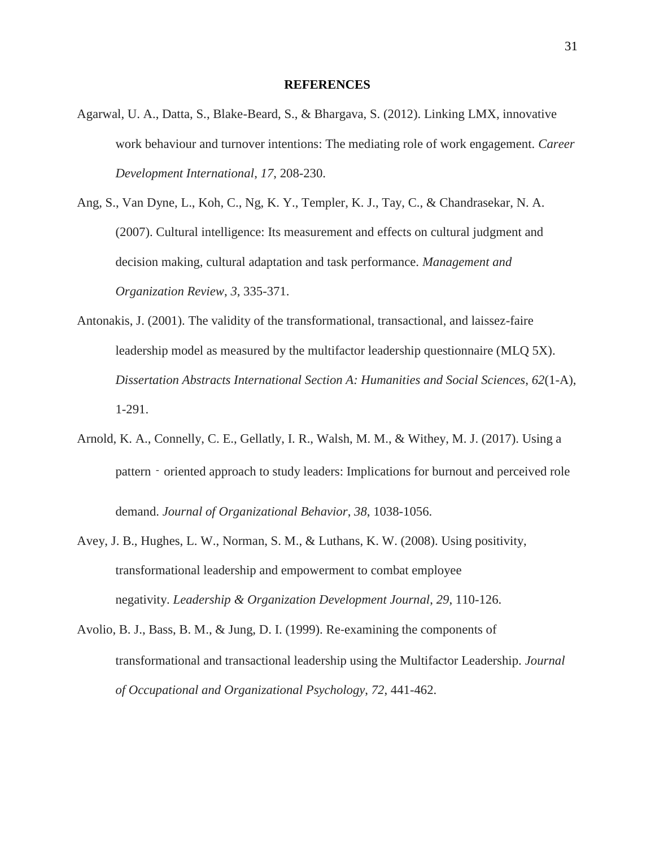#### **REFERENCES**

- Agarwal, U. A., Datta, S., Blake-Beard, S., & Bhargava, S. (2012). Linking LMX, innovative work behaviour and turnover intentions: The mediating role of work engagement. *Career Development International*, *17*, 208-230.
- Ang, S., Van Dyne, L., Koh, C., Ng, K. Y., Templer, K. J., Tay, C., & Chandrasekar, N. A. (2007). Cultural intelligence: Its measurement and effects on cultural judgment and decision making, cultural adaptation and task performance. *Management and Organization Review*, *3*, 335-371.
- Antonakis, J. (2001). The validity of the transformational, transactional, and laissez-faire leadership model as measured by the multifactor leadership questionnaire (MLQ 5X). *Dissertation Abstracts International Section A: Humanities and Social Sciences*, *62*(1-A), 1-291.
- Arnold, K. A., Connelly, C. E., Gellatly, I. R., Walsh, M. M., & Withey, M. J. (2017). Using a pattern – oriented approach to study leaders: Implications for burnout and perceived role demand. *Journal of Organizational Behavior*, *38*, 1038-1056.
- Avey, J. B., Hughes, L. W., Norman, S. M., & Luthans, K. W. (2008). Using positivity, transformational leadership and empowerment to combat employee negativity. *Leadership & Organization Development Journal*, *29*, 110-126.
- Avolio, B. J., Bass, B. M., & Jung, D. I. (1999). Re‐examining the components of transformational and transactional leadership using the Multifactor Leadership. *Journal of Occupational and Organizational Psychology*, *72*, 441-462.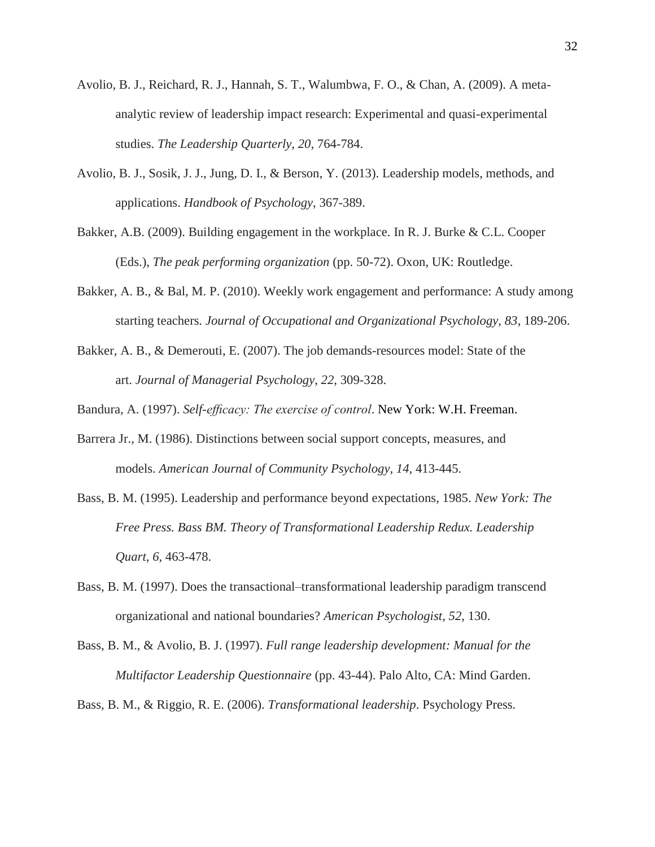- Avolio, B. J., Reichard, R. J., Hannah, S. T., Walumbwa, F. O., & Chan, A. (2009). A metaanalytic review of leadership impact research: Experimental and quasi-experimental studies. *The Leadership Quarterly*, *20*, 764-784.
- Avolio, B. J., Sosik, J. J., Jung, D. I., & Berson, Y. (2013). Leadership models, methods, and applications. *Handbook of Psychology*, 367-389.
- Bakker, A.B. (2009). Building engagement in the workplace. In R. J. Burke & C.L. Cooper (Eds.), *The peak performing organization* (pp. 50-72). Oxon, UK: Routledge.
- Bakker, A. B., & Bal, M. P. (2010). Weekly work engagement and performance: A study among starting teachers*. Journal of Occupational and Organizational Psychology, 83*, 189-206.
- Bakker, A. B., & Demerouti, E. (2007). The job demands-resources model: State of the art. *Journal of Managerial Psychology*, *22*, 309-328.

Bandura, A. (1997). *Self-efficacy: The exercise of control*. New York: W.H. Freeman.

- Barrera Jr., M. (1986). Distinctions between social support concepts, measures, and models. *American Journal of Community Psychology*, *14*, 413-445.
- Bass, B. M. (1995). Leadership and performance beyond expectations, 1985. *New York: The Free Press. Bass BM. Theory of Transformational Leadership Redux. Leadership Quart*, *6*, 463-478.
- Bass, B. M. (1997). Does the transactional–transformational leadership paradigm transcend organizational and national boundaries? *American Psychologist*, *52*, 130.
- Bass, B. M., & Avolio, B. J. (1997). *Full range leadership development: Manual for the Multifactor Leadership Questionnaire* (pp. 43-44). Palo Alto, CA: Mind Garden.

Bass, B. M., & Riggio, R. E. (2006). *Transformational leadership*. Psychology Press.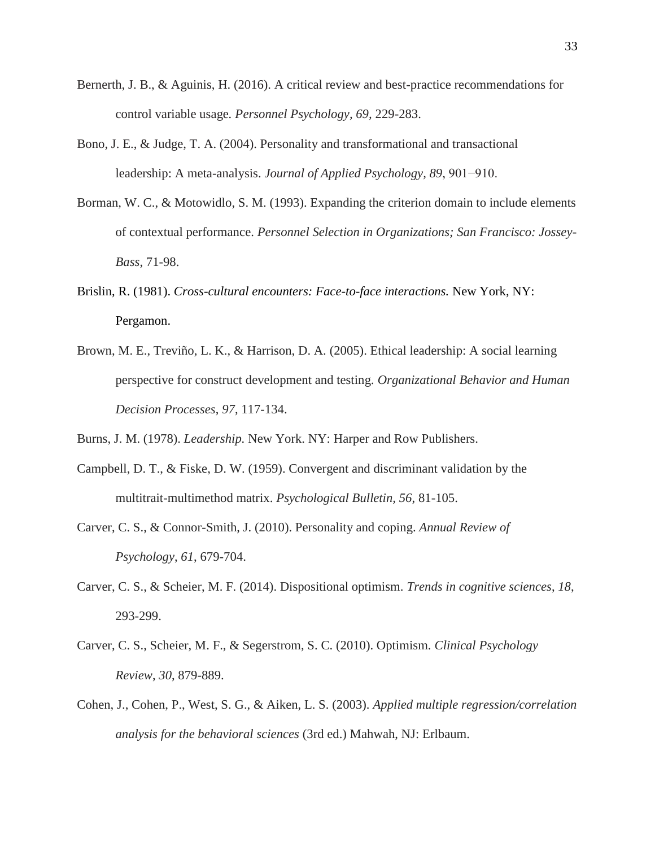- Bernerth, J. B., & Aguinis, H. (2016). A critical review and best-practice recommendations for control variable usage*. Personnel Psychology, 69,* 229-283.
- Bono, J. E., & Judge, T. A. (2004). Personality and transformational and transactional leadership: A meta-analysis. *Journal of Applied Psychology, 89*, 901−910.
- Borman, W. C., & Motowidlo, S. M. (1993). Expanding the criterion domain to include elements of contextual performance. *Personnel Selection in Organizations; San Francisco: Jossey-Bass*, 71-98.
- Brislin, R. (1981). *Cross-cultural encounters: Face-to-face interactions.* New York, NY: Pergamon.
- Brown, M. E., Treviño, L. K., & Harrison, D. A. (2005). Ethical leadership: A social learning perspective for construct development and testing. *Organizational Behavior and Human Decision Processes*, *97*, 117-134.
- Burns, J. M. (1978). *Leadership.* New York. NY: Harper and Row Publishers.
- Campbell, D. T., & Fiske, D. W. (1959). Convergent and discriminant validation by the multitrait-multimethod matrix. *Psychological Bulletin, 56*, 81-105.
- Carver, C. S., & Connor-Smith, J. (2010). Personality and coping. *Annual Review of Psychology*, *61*, 679-704.
- Carver, C. S., & Scheier, M. F. (2014). Dispositional optimism. *Trends in cognitive sciences*, *18*, 293-299.
- Carver, C. S., Scheier, M. F., & Segerstrom, S. C. (2010). Optimism. *Clinical Psychology Review*, *30*, 879-889.
- Cohen, J., Cohen, P., West, S. G., & Aiken, L. S. (2003). *Applied multiple regression/correlation analysis for the behavioral sciences* (3rd ed.) Mahwah, NJ: Erlbaum.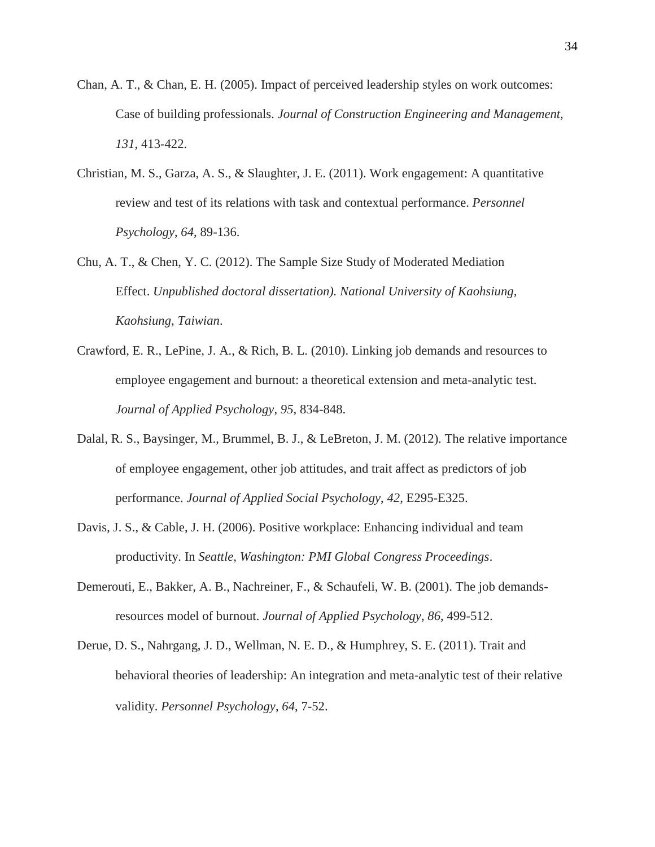- Chan, A. T., & Chan, E. H. (2005). Impact of perceived leadership styles on work outcomes: Case of building professionals. *Journal of Construction Engineering and Management, 131*, 413-422.
- Christian, M. S., Garza, A. S., & Slaughter, J. E. (2011). Work engagement: A quantitative review and test of its relations with task and contextual performance. *Personnel Psychology*, *64*, 89-136.
- Chu, A. T., & Chen, Y. C. (2012). The Sample Size Study of Moderated Mediation Effect. *Unpublished doctoral dissertation). National University of Kaohsiung, Kaohsiung, Taiwian*.
- Crawford, E. R., LePine, J. A., & Rich, B. L. (2010). Linking job demands and resources to employee engagement and burnout: a theoretical extension and meta-analytic test. *Journal of Applied Psychology*, *95*, 834-848.
- Dalal, R. S., Baysinger, M., Brummel, B. J., & LeBreton, J. M. (2012). The relative importance of employee engagement, other job attitudes, and trait affect as predictors of job performance. *Journal of Applied Social Psychology*, *42*, E295-E325.
- Davis, J. S., & Cable, J. H. (2006). Positive workplace: Enhancing individual and team productivity. In *Seattle, Washington: PMI Global Congress Proceedings*.
- Demerouti, E., Bakker, A. B., Nachreiner, F., & Schaufeli, W. B. (2001). The job demandsresources model of burnout. *Journal of Applied Psychology*, *86*, 499-512.
- Derue, D. S., Nahrgang, J. D., Wellman, N. E. D., & Humphrey, S. E. (2011). Trait and behavioral theories of leadership: An integration and meta‐analytic test of their relative validity. *Personnel Psychology*, *64*, 7-52.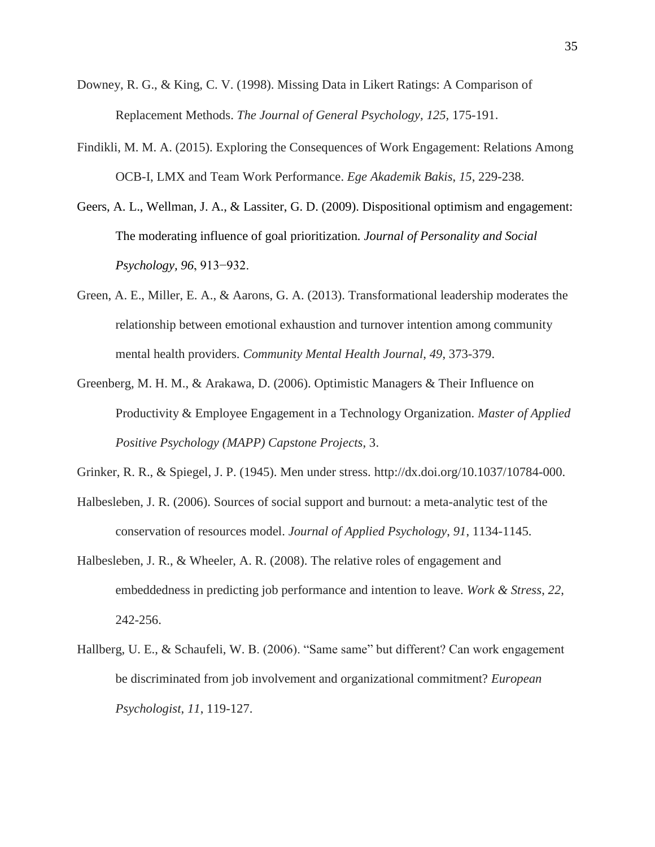- Downey, R. G., & King, C. V. (1998). Missing Data in Likert Ratings: A Comparison of Replacement Methods. *The Journal of General Psychology, 125,* 175-191.
- Findikli, M. M. A. (2015). Exploring the Consequences of Work Engagement: Relations Among OCB-I, LMX and Team Work Performance. *Ege Akademik Bakis*, *15*, 229-238.
- Geers, A. L., Wellman, J. A., & Lassiter, G. D. (2009). Dispositional optimism and engagement: The moderating influence of goal prioritization*. Journal of Personality and Social Psychology, 96*, 913−932.
- Green, A. E., Miller, E. A., & Aarons, G. A. (2013). Transformational leadership moderates the relationship between emotional exhaustion and turnover intention among community mental health providers. *Community Mental Health Journal*, *49*, 373-379.
- Greenberg, M. H. M., & Arakawa, D. (2006). Optimistic Managers & Their Influence on Productivity & Employee Engagement in a Technology Organization. *Master of Applied Positive Psychology (MAPP) Capstone Projects*, 3.
- Grinker, R. R., & Spiegel, J. P. (1945). Men under stress. http://dx.doi.org/10.1037/10784-000.
- Halbesleben, J. R. (2006). Sources of social support and burnout: a meta-analytic test of the conservation of resources model. *Journal of Applied Psychology*, *91*, 1134-1145.
- Halbesleben, J. R., & Wheeler, A. R. (2008). The relative roles of engagement and embeddedness in predicting job performance and intention to leave. *Work & Stress*, *22*, 242-256.
- Hallberg, U. E., & Schaufeli, W. B. (2006). "Same same" but different? Can work engagement be discriminated from job involvement and organizational commitment? *European Psychologist*, *11*, 119-127.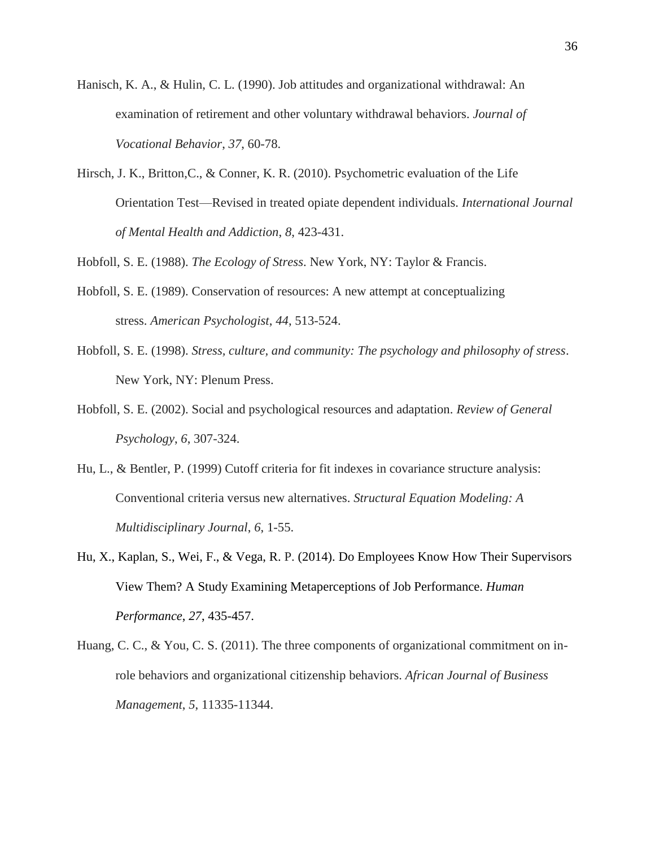- Hanisch, K. A., & Hulin, C. L. (1990). Job attitudes and organizational withdrawal: An examination of retirement and other voluntary withdrawal behaviors. *Journal of Vocational Behavior*, *37*, 60-78.
- Hirsch, J. K., Britton,C., & Conner, K. R. (2010). Psychometric evaluation of the Life Orientation Test—Revised in treated opiate dependent individuals. *International Journal of Mental Health and Addiction*, *8*, 423-431.

Hobfoll, S. E. (1988). *The Ecology of Stress*. New York, NY: Taylor & Francis.

- Hobfoll, S. E. (1989). Conservation of resources: A new attempt at conceptualizing stress. *American Psychologist*, *44*, 513-524.
- Hobfoll, S. E. (1998). *Stress, culture, and community: The psychology and philosophy of stress*. New York, NY: Plenum Press.
- Hobfoll, S. E. (2002). Social and psychological resources and adaptation. *Review of General Psychology*, *6*, 307-324.
- Hu, L., & Bentler, P. (1999) Cutoff criteria for fit indexes in covariance structure analysis: Conventional criteria versus new alternatives. *Structural Equation Modeling: A Multidisciplinary Journal*, *6*, 1-55.
- Hu, X., Kaplan, S., Wei, F., & Vega, R. P. (2014). Do Employees Know How Their Supervisors View Them? A Study Examining Metaperceptions of Job Performance. *Human Performance*, *27*, 435-457.
- Huang, C. C., & You, C. S. (2011). The three components of organizational commitment on inrole behaviors and organizational citizenship behaviors. *African Journal of Business Management*, *5*, 11335-11344.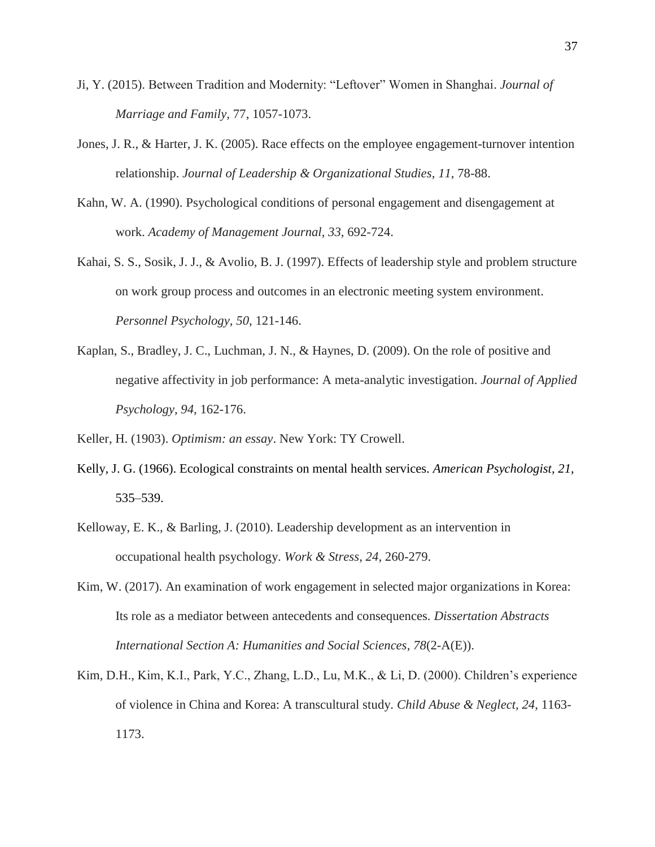- Ji, Y. (2015). Between Tradition and Modernity: "Leftover" Women in Shanghai. *Journal of Marriage and Family,* 77, 1057-1073.
- Jones, J. R., & Harter, J. K. (2005). Race effects on the employee engagement-turnover intention relationship. *Journal of Leadership & Organizational Studies*, *11*, 78-88.
- Kahn, W. A. (1990). Psychological conditions of personal engagement and disengagement at work. *Academy of Management Journal*, *33*, 692-724.
- Kahai, S. S., Sosik, J. J., & Avolio, B. J. (1997). Effects of leadership style and problem structure on work group process and outcomes in an electronic meeting system environment. *Personnel Psychology, 50*, 121-146.
- Kaplan, S., Bradley, J. C., Luchman, J. N., & Haynes, D. (2009). On the role of positive and negative affectivity in job performance: A meta-analytic investigation. *Journal of Applied Psychology*, *94*, 162-176.

Keller, H. (1903). *Optimism: an essay*. New York: TY Crowell.

- Kelly, J. G. (1966). Ecological constraints on mental health services. *American Psychologist, 21,*  535–539.
- Kelloway, E. K., & Barling, J. (2010). Leadership development as an intervention in occupational health psychology. *Work & Stress*, *24*, 260-279.
- Kim, W. (2017). An examination of work engagement in selected major organizations in Korea: Its role as a mediator between antecedents and consequences. *Dissertation Abstracts International Section A: Humanities and Social Sciences*, *78*(2-A(E)).
- Kim, D.H., Kim, K.I., Park, Y.C., Zhang, L.D., Lu, M.K., & Li, D. (2000). Children's experience of violence in China and Korea: A transcultural study. *Child Abuse & Neglect, 24*, 1163- 1173.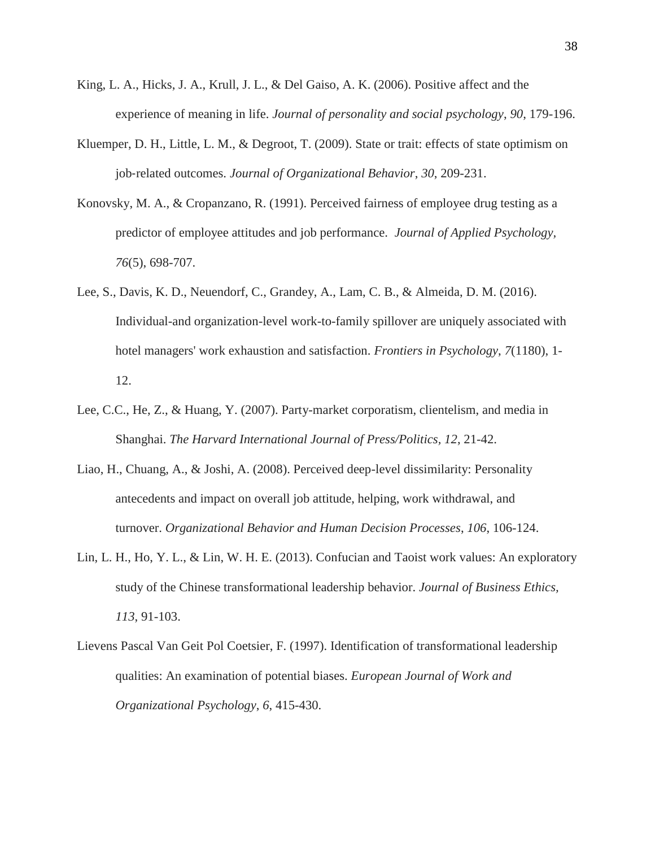- King, L. A., Hicks, J. A., Krull, J. L., & Del Gaiso, A. K. (2006). Positive affect and the experience of meaning in life. *Journal of personality and social psychology*, *90*, 179-196.
- Kluemper, D. H., Little, L. M., & Degroot, T. (2009). State or trait: effects of state optimism on job‐related outcomes. *Journal of Organizational Behavior*, *30*, 209-231.
- Konovsky, M. A., & Cropanzano, R. (1991). Perceived fairness of employee drug testing as a predictor of employee attitudes and job performance. *Journal of Applied Psychology, 76*(5), 698-707.
- Lee, S., Davis, K. D., Neuendorf, C., Grandey, A., Lam, C. B., & Almeida, D. M. (2016). Individual-and organization-level work-to-family spillover are uniquely associated with hotel managers' work exhaustion and satisfaction. *Frontiers in Psychology*, *7*(1180), 1- 12.
- Lee, C.C., He, Z., & Huang, Y. (2007). Party-market corporatism, clientelism, and media in Shanghai. *The Harvard International Journal of Press/Politics, 12*, 21-42.
- Liao, H., Chuang, A., & Joshi, A. (2008). Perceived deep-level dissimilarity: Personality antecedents and impact on overall job attitude, helping, work withdrawal, and turnover. *Organizational Behavior and Human Decision Processes*, *106*, 106-124.
- Lin, L. H., Ho, Y. L., & Lin, W. H. E. (2013). Confucian and Taoist work values: An exploratory study of the Chinese transformational leadership behavior. *Journal of Business Ethics, 113*, 91-103.
- Lievens Pascal Van Geit Pol Coetsier, F. (1997). Identification of transformational leadership qualities: An examination of potential biases. *European Journal of Work and Organizational Psychology*, *6*, 415-430.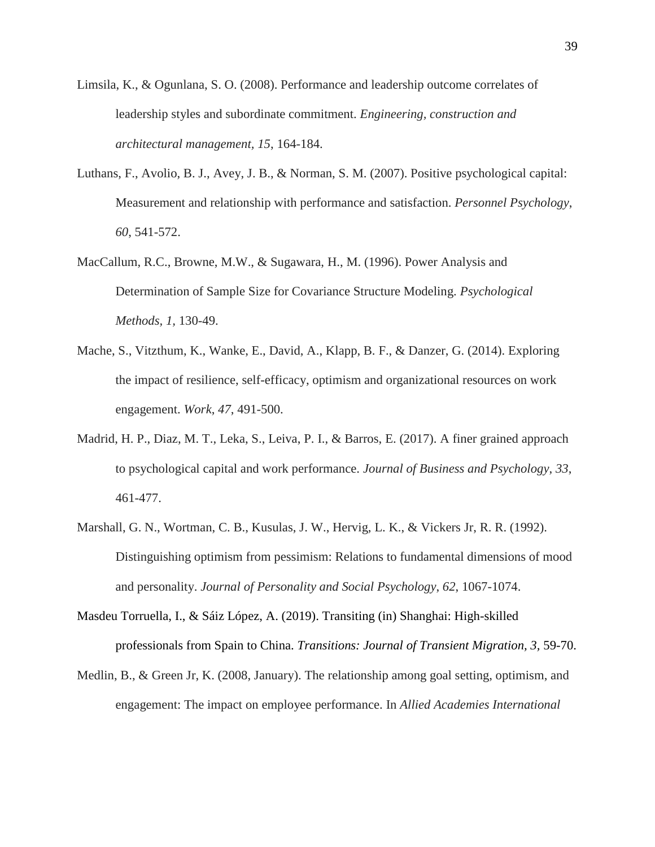- Limsila, K., & Ogunlana, S. O. (2008). Performance and leadership outcome correlates of leadership styles and subordinate commitment. *Engineering, construction and architectural management, 15*, 164-184.
- Luthans, F., Avolio, B. J., Avey, J. B., & Norman, S. M. (2007). Positive psychological capital: Measurement and relationship with performance and satisfaction. *Personnel Psychology*, *60*, 541-572.
- MacCallum, R.C., Browne, M.W., & Sugawara, H., M. (1996). Power Analysis and Determination of Sample Size for Covariance Structure Modeling. *Psychological Methods, 1,* 130-49.
- Mache, S., Vitzthum, K., Wanke, E., David, A., Klapp, B. F., & Danzer, G. (2014). Exploring the impact of resilience, self-efficacy, optimism and organizational resources on work engagement. *Work*, *47*, 491-500.
- Madrid, H. P., Diaz, M. T., Leka, S., Leiva, P. I., & Barros, E. (2017). A finer grained approach to psychological capital and work performance. *Journal of Business and Psychology*, *33*, 461-477.
- Marshall, G. N., Wortman, C. B., Kusulas, J. W., Hervig, L. K., & Vickers Jr, R. R. (1992). Distinguishing optimism from pessimism: Relations to fundamental dimensions of mood and personality. *Journal of Personality and Social Psychology*, *62*, 1067-1074.
- Masdeu Torruella, I., & Sáiz López, A. (2019). Transiting (in) Shanghai: High-skilled professionals from Spain to China. *Transitions: Journal of Transient Migration, 3,* 59-70.
- Medlin, B., & Green Jr, K. (2008, January). The relationship among goal setting, optimism, and engagement: The impact on employee performance. In *Allied Academies International*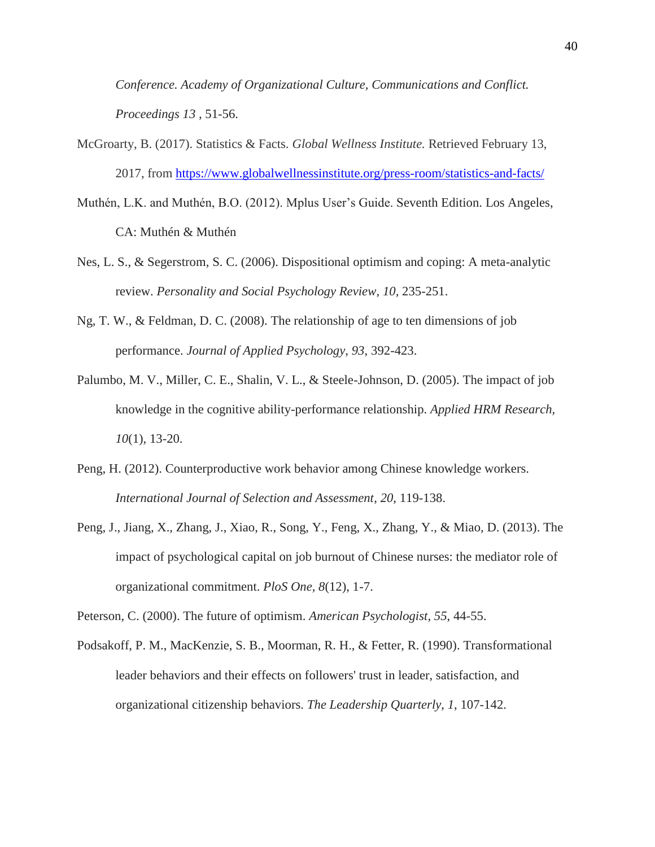*Conference. Academy of Organizational Culture, Communications and Conflict. Proceedings 13* , 51-56.

- McGroarty, B. (2017). Statistics & Facts. *Global Wellness Institute.* Retrieved February 13, 2017, from<https://www.globalwellnessinstitute.org/press-room/statistics-and-facts/>
- Muthén, L.K. and Muthén, B.O. (2012). Mplus User's Guide. Seventh Edition. Los Angeles, CA: Muthén & Muthén
- Nes, L. S., & Segerstrom, S. C. (2006). Dispositional optimism and coping: A meta-analytic review. *Personality and Social Psychology Review*, *10*, 235-251.
- Ng, T. W., & Feldman, D. C. (2008). The relationship of age to ten dimensions of job performance. *Journal of Applied Psychology*, *93*, 392-423.
- Palumbo, M. V., Miller, C. E., Shalin, V. L., & Steele-Johnson, D. (2005). The impact of job knowledge in the cognitive ability-performance relationship. *Applied HRM Research, 10*(1), 13-20.
- Peng, H. (2012). Counterproductive work behavior among Chinese knowledge workers. *International Journal of Selection and Assessment*, *20*, 119-138.
- Peng, J., Jiang, X., Zhang, J., Xiao, R., Song, Y., Feng, X., Zhang, Y., & Miao, D. (2013). The impact of psychological capital on job burnout of Chinese nurses: the mediator role of organizational commitment. *PloS One, 8*(12), 1-7.

Peterson, C. (2000). The future of optimism. *American Psychologist, 55*, 44-55.

Podsakoff, P. M., MacKenzie, S. B., Moorman, R. H., & Fetter, R. (1990). Transformational leader behaviors and their effects on followers' trust in leader, satisfaction, and organizational citizenship behaviors. *The Leadership Quarterly*, *1*, 107-142.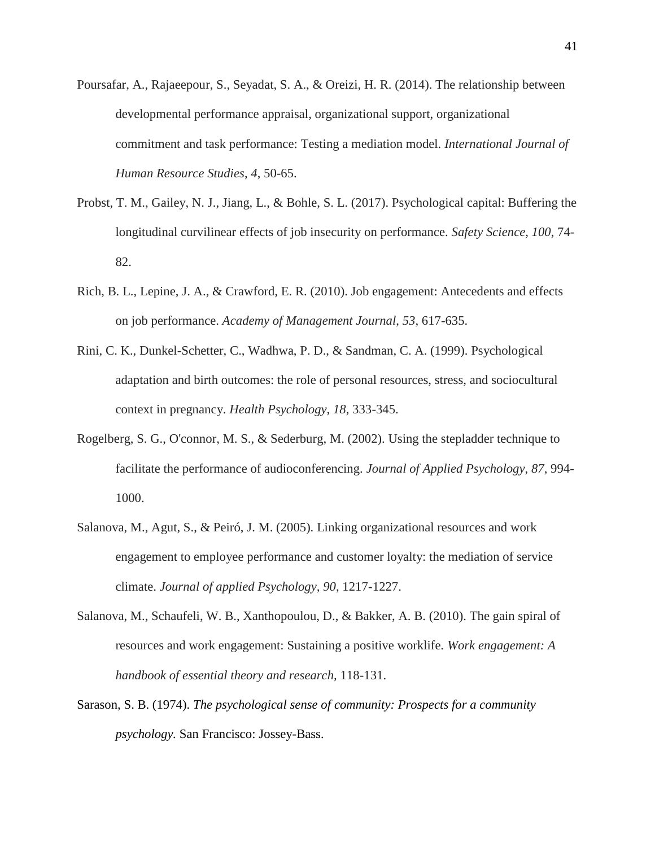- Poursafar, A., Rajaeepour, S., Seyadat, S. A., & Oreizi, H. R. (2014). The relationship between developmental performance appraisal, organizational support, organizational commitment and task performance: Testing a mediation model. *International Journal of Human Resource Studies*, *4*, 50-65.
- Probst, T. M., Gailey, N. J., Jiang, L., & Bohle, S. L. (2017). Psychological capital: Buffering the longitudinal curvilinear effects of job insecurity on performance. *Safety Science, 100*, 74- 82.
- Rich, B. L., Lepine, J. A., & Crawford, E. R. (2010). Job engagement: Antecedents and effects on job performance. *Academy of Management Journal*, *53*, 617-635.
- Rini, C. K., Dunkel-Schetter, C., Wadhwa, P. D., & Sandman, C. A. (1999). Psychological adaptation and birth outcomes: the role of personal resources, stress, and sociocultural context in pregnancy. *Health Psychology*, *18*, 333-345.
- Rogelberg, S. G., O'connor, M. S., & Sederburg, M. (2002). Using the stepladder technique to facilitate the performance of audioconferencing. *Journal of Applied Psychology*, *87*, 994- 1000.
- Salanova, M., Agut, S., & Peiró, J. M. (2005). Linking organizational resources and work engagement to employee performance and customer loyalty: the mediation of service climate. *Journal of applied Psychology, 90*, 1217-1227.
- Salanova, M., Schaufeli, W. B., Xanthopoulou, D., & Bakker, A. B. (2010). The gain spiral of resources and work engagement: Sustaining a positive worklife. *Work engagement: A handbook of essential theory and research,* 118-131.
- Sarason, S. B. (1974). *The psychological sense of community: Prospects for a community psychology.* San Francisco: Jossey-Bass.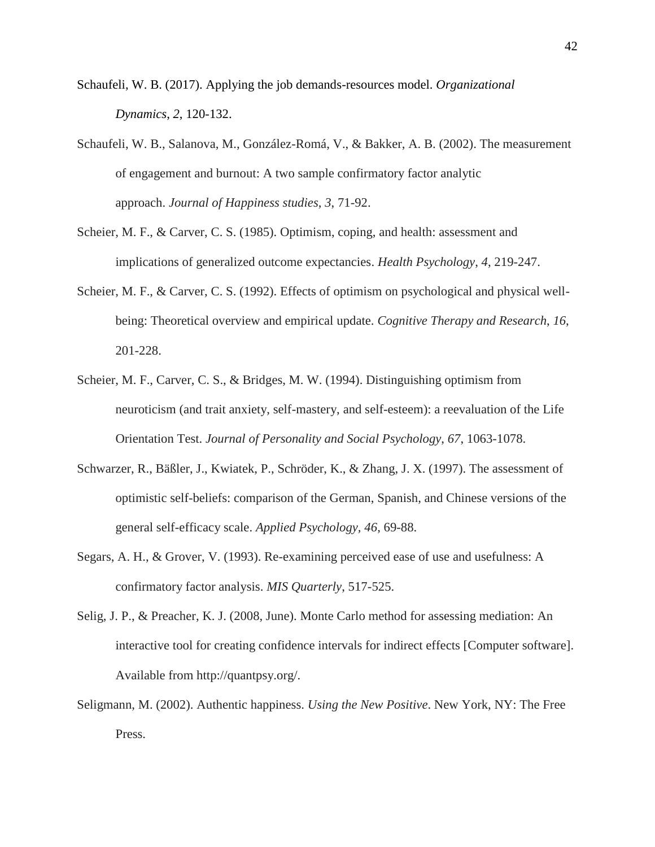- Schaufeli, W. B. (2017). Applying the job demands-resources model. *Organizational Dynamics*, *2*, 120-132.
- Schaufeli, W. B., Salanova, M., González-Romá, V., & Bakker, A. B. (2002). The measurement of engagement and burnout: A two sample confirmatory factor analytic approach. *Journal of Happiness studies*, *3*, 71-92.
- Scheier, M. F., & Carver, C. S. (1985). Optimism, coping, and health: assessment and implications of generalized outcome expectancies. *Health Psychology*, *4*, 219-247.
- Scheier, M. F., & Carver, C. S. (1992). Effects of optimism on psychological and physical wellbeing: Theoretical overview and empirical update. *Cognitive Therapy and Research*, *16*, 201-228.
- Scheier, M. F., Carver, C. S., & Bridges, M. W. (1994). Distinguishing optimism from neuroticism (and trait anxiety, self-mastery, and self-esteem): a reevaluation of the Life Orientation Test. *Journal of Personality and Social Psychology*, *67*, 1063-1078.
- Schwarzer, R., Bäßler, J., Kwiatek, P., Schröder, K., & Zhang, J. X. (1997). The assessment of optimistic self-beliefs: comparison of the German, Spanish, and Chinese versions of the general self-efficacy scale. *Applied Psychology, 46*, 69-88.
- Segars, A. H., & Grover, V. (1993). Re-examining perceived ease of use and usefulness: A confirmatory factor analysis. *MIS Quarterly*, 517-525.
- Selig, J. P., & Preacher, K. J. (2008, June). Monte Carlo method for assessing mediation: An interactive tool for creating confidence intervals for indirect effects [Computer software]. Available from http://quantpsy.org/.
- Seligmann, M. (2002). Authentic happiness. *Using the New Positive*. New York, NY: The Free Press.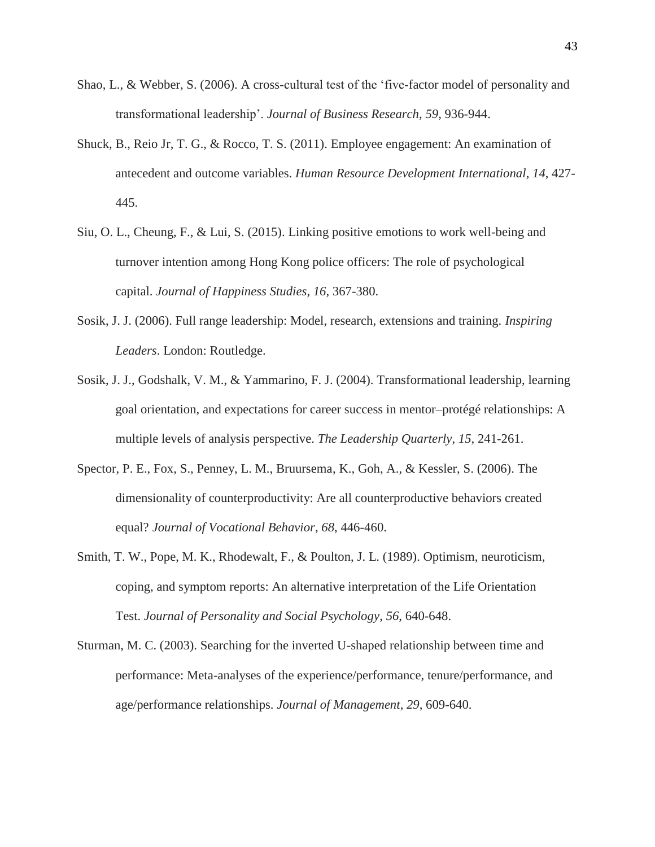- Shao, L., & Webber, S. (2006). A cross-cultural test of the 'five-factor model of personality and transformational leadership'. *Journal of Business Research*, *59*, 936-944.
- Shuck, B., Reio Jr, T. G., & Rocco, T. S. (2011). Employee engagement: An examination of antecedent and outcome variables. *Human Resource Development International*, *14*, 427- 445.
- Siu, O. L., Cheung, F., & Lui, S. (2015). Linking positive emotions to work well-being and turnover intention among Hong Kong police officers: The role of psychological capital. *Journal of Happiness Studies*, *16*, 367-380.
- Sosik, J. J. (2006). Full range leadership: Model, research, extensions and training. *Inspiring Leaders*. London: Routledge.
- Sosik, J. J., Godshalk, V. M., & Yammarino, F. J. (2004). Transformational leadership, learning goal orientation, and expectations for career success in mentor–protégé relationships: A multiple levels of analysis perspective. *The Leadership Quarterly*, *15*, 241-261.
- Spector, P. E., Fox, S., Penney, L. M., Bruursema, K., Goh, A., & Kessler, S. (2006). The dimensionality of counterproductivity: Are all counterproductive behaviors created equal? *Journal of Vocational Behavior*, *68*, 446-460.
- Smith, T. W., Pope, M. K., Rhodewalt, F., & Poulton, J. L. (1989). Optimism, neuroticism, coping, and symptom reports: An alternative interpretation of the Life Orientation Test. *Journal of Personality and Social Psychology*, *56*, 640-648.
- Sturman, M. C. (2003). Searching for the inverted U-shaped relationship between time and performance: Meta-analyses of the experience/performance, tenure/performance, and age/performance relationships. *Journal of Management*, *29*, 609-640.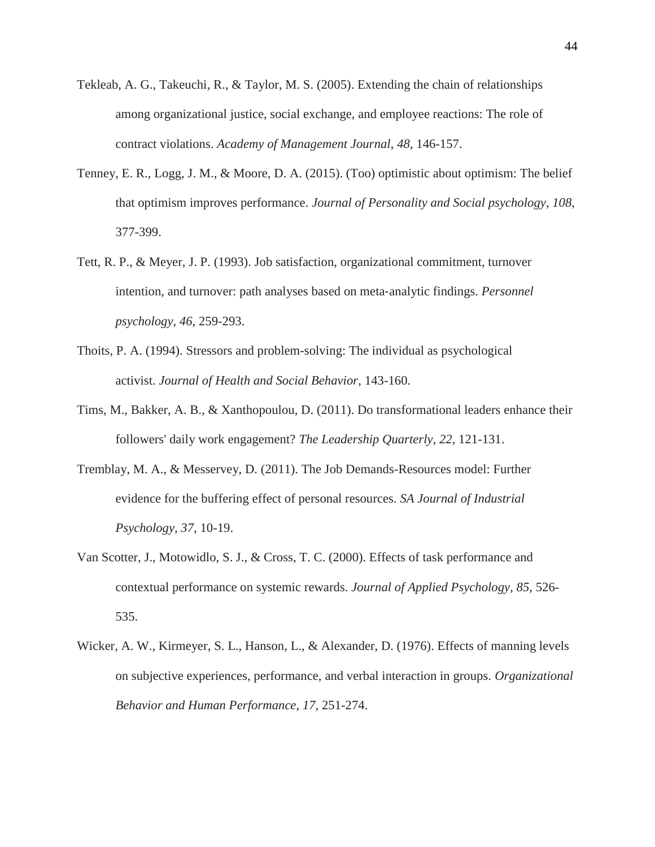- Tekleab, A. G., Takeuchi, R., & Taylor, M. S. (2005). Extending the chain of relationships among organizational justice, social exchange, and employee reactions: The role of contract violations. *Academy of Management Journal*, *48*, 146-157.
- Tenney, E. R., Logg, J. M., & Moore, D. A. (2015). (Too) optimistic about optimism: The belief that optimism improves performance. *Journal of Personality and Social psychology*, *108*, 377-399.
- Tett, R. P., & Meyer, J. P. (1993). Job satisfaction, organizational commitment, turnover intention, and turnover: path analyses based on meta‐analytic findings. *Personnel psychology*, *46*, 259-293.
- Thoits, P. A. (1994). Stressors and problem-solving: The individual as psychological activist. *Journal of Health and Social Behavior*, 143-160.
- Tims, M., Bakker, A. B., & Xanthopoulou, D. (2011). Do transformational leaders enhance their followers' daily work engagement? *The Leadership Quarterly*, *22*, 121-131.
- Tremblay, M. A., & Messervey, D. (2011). The Job Demands-Resources model: Further evidence for the buffering effect of personal resources. *SA Journal of Industrial Psychology*, *37*, 10-19.
- Van Scotter, J., Motowidlo, S. J., & Cross, T. C. (2000). Effects of task performance and contextual performance on systemic rewards. *Journal of Applied Psychology*, *85*, 526- 535.
- Wicker, A. W., Kirmeyer, S. L., Hanson, L., & Alexander, D. (1976). Effects of manning levels on subjective experiences, performance, and verbal interaction in groups. *Organizational Behavior and Human Performance*, *17*, 251-274.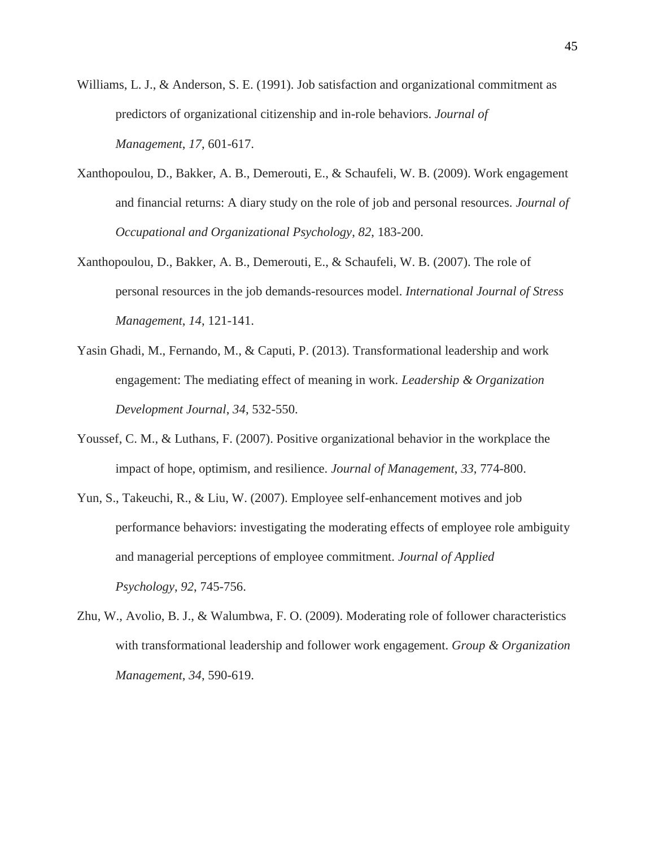- Williams, L. J., & Anderson, S. E. (1991). Job satisfaction and organizational commitment as predictors of organizational citizenship and in-role behaviors. *Journal of Management*, *17*, 601-617.
- Xanthopoulou, D., Bakker, A. B., Demerouti, E., & Schaufeli, W. B. (2009). Work engagement and financial returns: A diary study on the role of job and personal resources. *Journal of Occupational and Organizational Psychology*, *82*, 183-200.
- Xanthopoulou, D., Bakker, A. B., Demerouti, E., & Schaufeli, W. B. (2007). The role of personal resources in the job demands-resources model. *International Journal of Stress Management*, *14*, 121-141.
- Yasin Ghadi, M., Fernando, M., & Caputi, P. (2013). Transformational leadership and work engagement: The mediating effect of meaning in work. *Leadership & Organization Development Journal*, *34*, 532-550.
- Youssef, C. M., & Luthans, F. (2007). Positive organizational behavior in the workplace the impact of hope, optimism, and resilience. *Journal of Management*, *33*, 774-800.
- Yun, S., Takeuchi, R., & Liu, W. (2007). Employee self-enhancement motives and job performance behaviors: investigating the moderating effects of employee role ambiguity and managerial perceptions of employee commitment. *Journal of Applied Psychology*, *92*, 745-756.
- Zhu, W., Avolio, B. J., & Walumbwa, F. O. (2009). Moderating role of follower characteristics with transformational leadership and follower work engagement. *Group & Organization Management*, *34*, 590-619.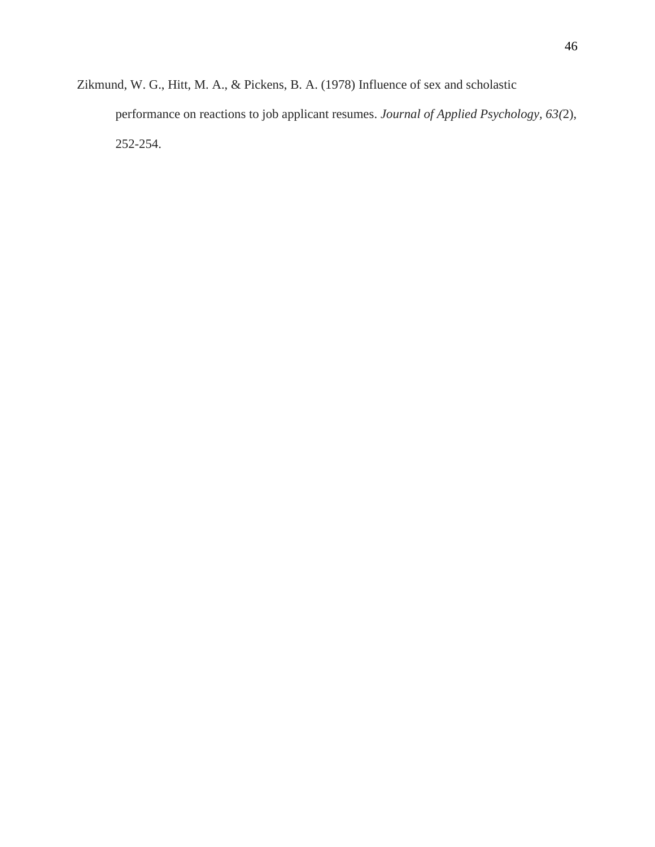Zikmund, W. G., Hitt, M. A., & Pickens, B. A. (1978) Influence of sex and scholastic performance on reactions to job applicant resumes. *Journal of Applied Psychology, 63(*2), 252-254.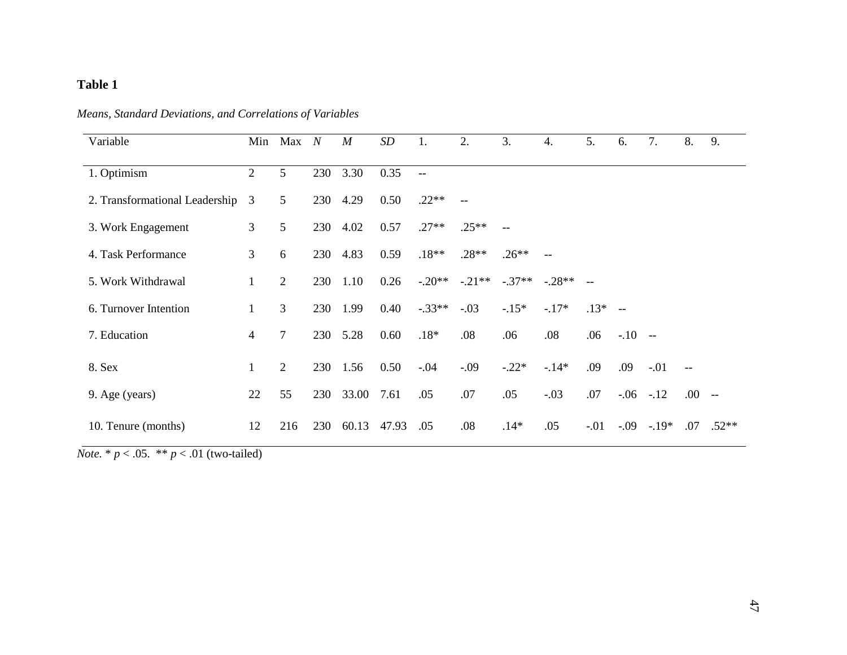## **Table 1**

| Means, Standard Deviations, and Correlations of Variables |
|-----------------------------------------------------------|
|-----------------------------------------------------------|

| Variable                         | Min            | $Max$ N        |     | $\boldsymbol{M}$ | <b>SD</b> | 1.           | 2.      | 3.      | 4.        | 5.             | 6.         | 7.            | 8.                                                  | 9.            |
|----------------------------------|----------------|----------------|-----|------------------|-----------|--------------|---------|---------|-----------|----------------|------------|---------------|-----------------------------------------------------|---------------|
|                                  |                |                |     |                  |           |              |         |         |           |                |            |               |                                                     |               |
| 1. Optimism                      | $\overline{2}$ | 5              | 230 | 3.30             | 0.35      | $\mathbf{u}$ |         |         |           |                |            |               |                                                     |               |
| 2. Transformational Leadership 3 |                | 5              | 230 | 4.29             | 0.50      | $.22**$      |         |         |           |                |            |               |                                                     |               |
| 3. Work Engagement               | 3              | 5              | 230 | 4.02             | 0.57      | $.27**$      | $.25**$ |         |           |                |            |               |                                                     |               |
| 4. Task Performance              | 3              | 6              | 230 | 4.83             | 0.59      | $.18**$      | $.28**$ | $.26**$ |           |                |            |               |                                                     |               |
| 5. Work Withdrawal               |                | 2              | 230 | 1.10             | 0.26      | $-.20**$     | $-21**$ | $-37**$ | $-0.28**$ | $\overline{a}$ |            |               |                                                     |               |
| 6. Turnover Intention            |                | 3              | 230 | 1.99             | 0.40      | $-.33**$     | $-.03$  | $-15*$  | $-.17*$   | $.13* -$       |            |               |                                                     |               |
| 7. Education                     | 4              | $\overline{7}$ | 230 | 5.28             | 0.60      | $.18*$       | .08     | .06     | .08       | .06            | $-.10 - -$ |               |                                                     |               |
| 8. Sex                           |                | $\overline{2}$ |     | 230 1.56         | 0.50      | $-0.04$      | $-.09$  | $-.22*$ | $-.14*$   | .09            | .09        | $-.01$        | $\hspace{0.05cm} -\hspace{0.05cm} -\hspace{0.05cm}$ |               |
| 9. Age (years)                   | 22             | 55             | 230 | 33.00            | 7.61      | .05          | .07     | .05     | $-.03$    | .07            |            | $-.06-.12$    | .00.                                                | $- -$         |
| 10. Tenure (months)              | 12             | 216            | 230 | 60.13            | 47.93     | .05          | .08     | $.14*$  | .05       | $-.01$         |            | $-0.09 - 19*$ |                                                     | $.07$ $.52**$ |

*Note.* \* *p* < .05. \*\* *p* < .01 (two-tailed)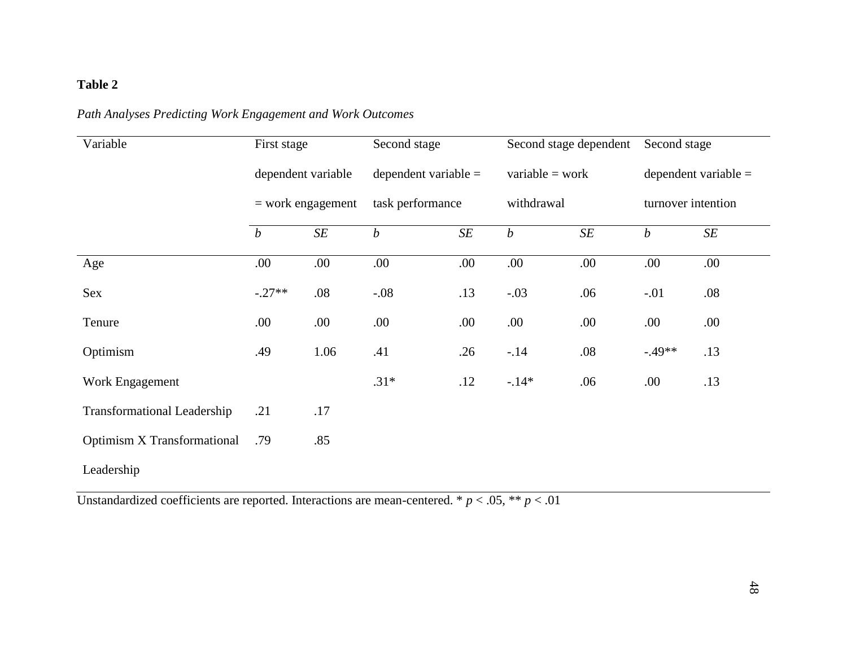## **Table 2**

| Variable                           | First stage                               |           | Second stage           |           | Second stage dependent |     | Second stage           |           |  |
|------------------------------------|-------------------------------------------|-----------|------------------------|-----------|------------------------|-----|------------------------|-----------|--|
|                                    | dependent variable<br>$=$ work engagement |           | dependent variable $=$ |           | $variable = work$      |     | dependent variable $=$ |           |  |
|                                    |                                           |           | task performance       |           | withdrawal             |     | turnover intention     |           |  |
|                                    | $\boldsymbol{b}$                          | $\cal SE$ | $\boldsymbol{b}$       | $\cal SE$ | $\boldsymbol{b}$       | SE  | $\boldsymbol{b}$       | $\cal SE$ |  |
| Age                                | .00                                       | .00       | .00                    | .00       | .00                    | .00 | .00                    | .00       |  |
| Sex                                | $-.27**$                                  | .08       | $-.08$                 | .13       | $-.03$                 | .06 | $-.01$                 | .08       |  |
| Tenure                             | .00                                       | .00.      | .00                    | .00       | .00                    | .00 | .00                    | .00       |  |
| Optimism                           | .49                                       | 1.06      | .41                    | .26       | $-.14$                 | .08 | $-0.49**$              | .13       |  |
| Work Engagement                    |                                           |           | $.31*$                 | .12       | $-.14*$                | .06 | .00.                   | .13       |  |
| <b>Transformational Leadership</b> | .21                                       | .17       |                        |           |                        |     |                        |           |  |
| <b>Optimism X Transformational</b> | .79                                       | .85       |                        |           |                        |     |                        |           |  |
| Leadership                         |                                           |           |                        |           |                        |     |                        |           |  |

Unstandardized coefficients are reported. Interactions are mean-centered. \*  $p < .05$ , \*\*  $p < .01$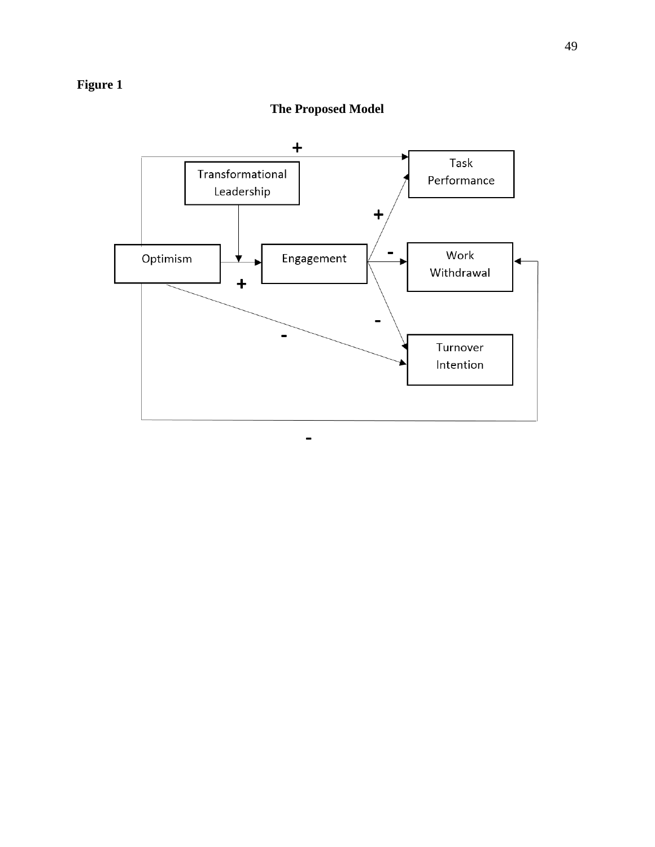# **Figure 1**



## **The Proposed Model**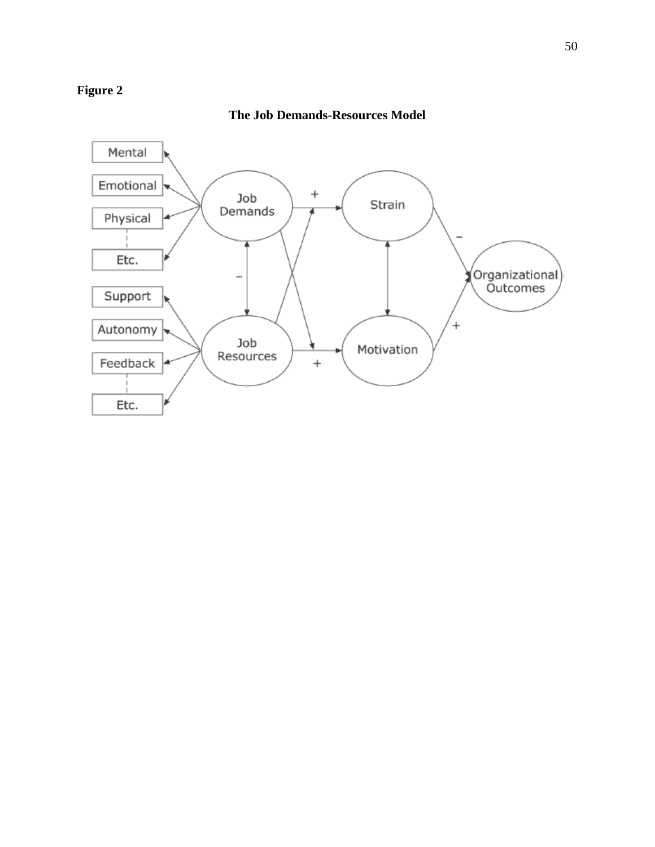## **Figure 2**

### **The Job Demands-Resources Model**

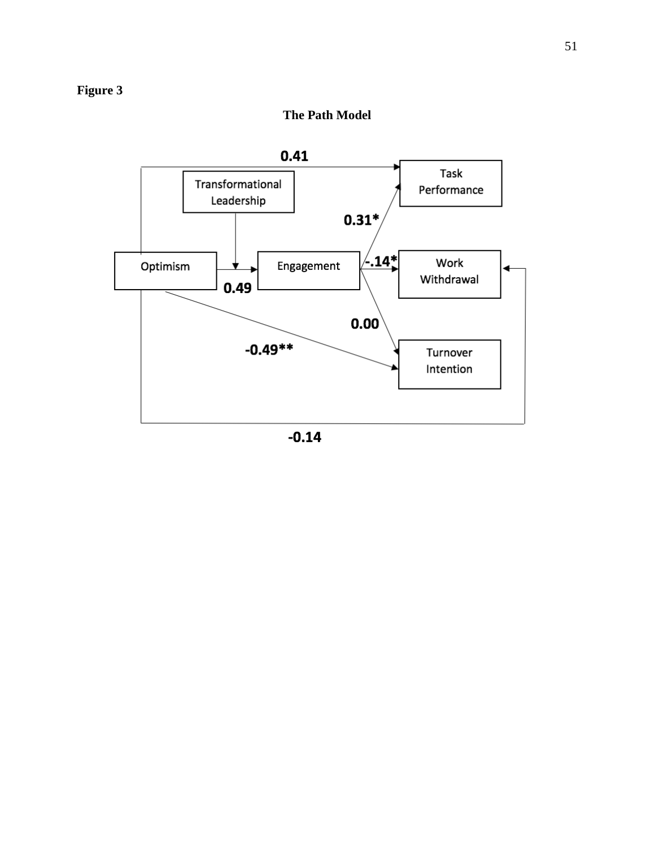

 $-0.14$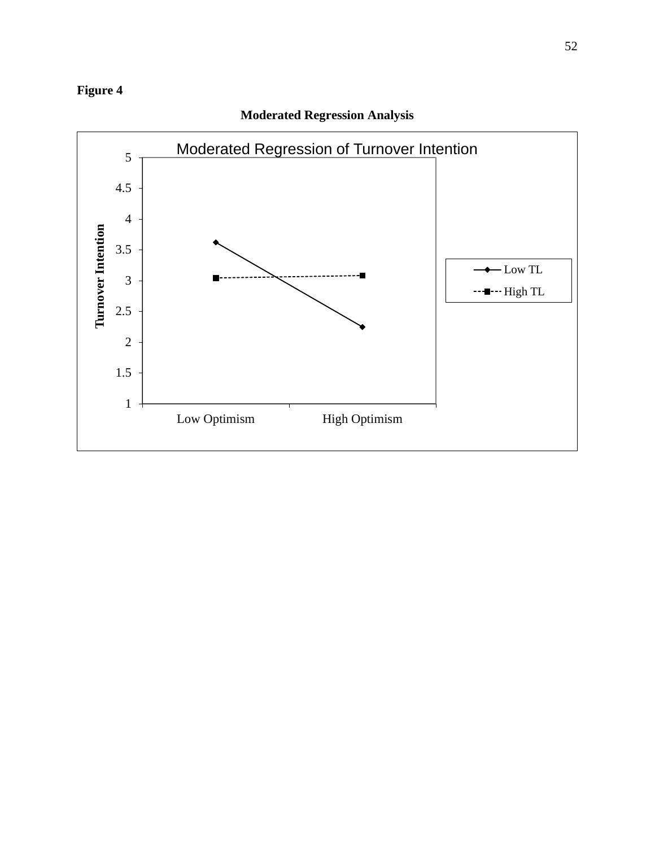## **Figure 4**



## **Moderated Regression Analysis**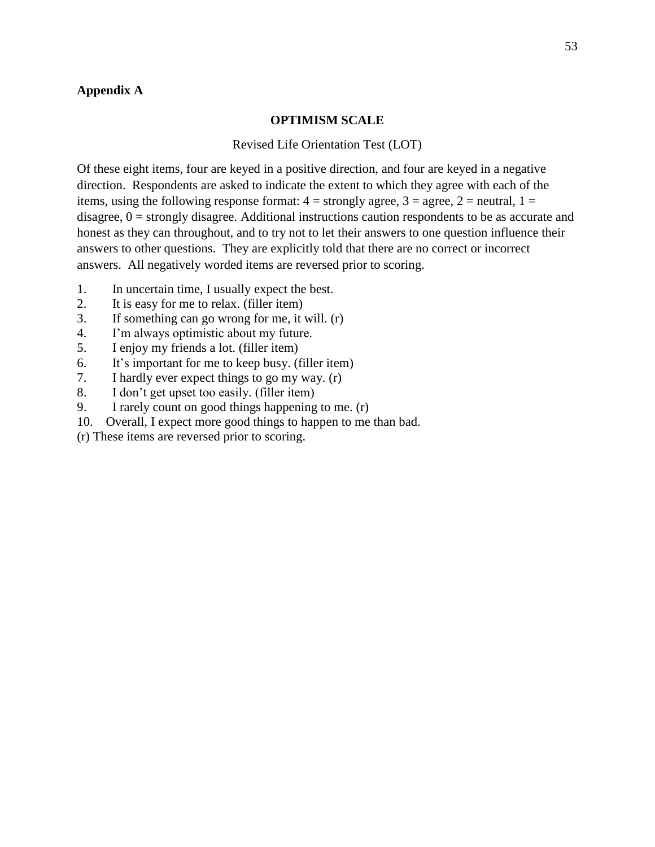### **Appendix A**

#### **OPTIMISM SCALE**

#### Revised Life Orientation Test (LOT)

Of these eight items, four are keyed in a positive direction, and four are keyed in a negative direction. Respondents are asked to indicate the extent to which they agree with each of the items, using the following response format:  $4 =$  strongly agree,  $3 =$  agree,  $2 =$  neutral,  $1 =$ disagree,  $0 =$  strongly disagree. Additional instructions caution respondents to be as accurate and honest as they can throughout, and to try not to let their answers to one question influence their answers to other questions. They are explicitly told that there are no correct or incorrect answers. All negatively worded items are reversed prior to scoring.

- 1. In uncertain time, I usually expect the best.
- 2. It is easy for me to relax. (filler item)
- 3. If something can go wrong for me, it will. (r)
- 4. I'm always optimistic about my future.
- 5. I enjoy my friends a lot. (filler item)
- 6. It's important for me to keep busy. (filler item)
- 7. I hardly ever expect things to go my way. (r)
- 8. I don't get upset too easily. (filler item)
- 9. I rarely count on good things happening to me. (r)
- 10. Overall, I expect more good things to happen to me than bad.
- (r) These items are reversed prior to scoring.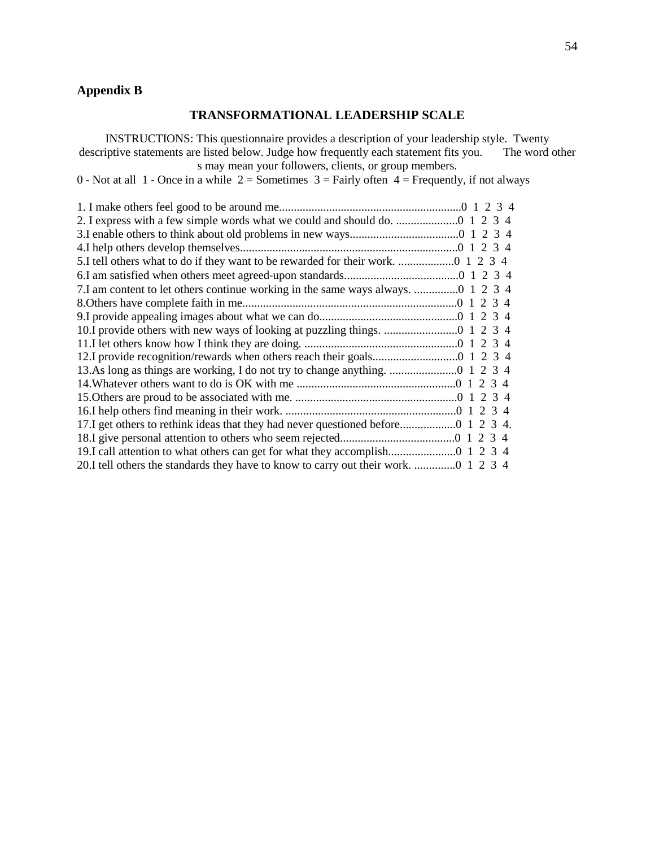## **Appendix B**

### **TRANSFORMATIONAL LEADERSHIP SCALE**

INSTRUCTIONS: This questionnaire provides a description of your leadership style. Twenty descriptive statements are listed below. Judge how frequently each statement fits you. The word other s may mean your followers, clients, or group members.

0 - Not at all 1 - Once in a while  $2 =$  Sometimes  $3 =$  Fairly often  $4 =$  Frequently, if not always

| 5.I tell others what to do if they want to be rewarded for their work.  1 2 3 4    |
|------------------------------------------------------------------------------------|
|                                                                                    |
|                                                                                    |
|                                                                                    |
|                                                                                    |
|                                                                                    |
|                                                                                    |
|                                                                                    |
|                                                                                    |
|                                                                                    |
|                                                                                    |
|                                                                                    |
|                                                                                    |
|                                                                                    |
|                                                                                    |
| 20.I tell others the standards they have to know to carry out their work.  1 2 3 4 |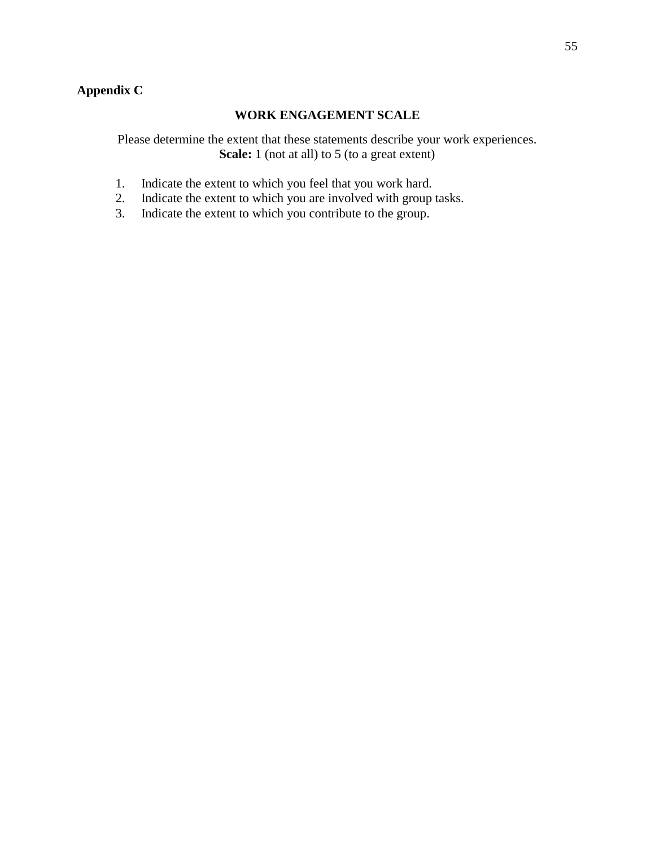## **Appendix C**

### **WORK ENGAGEMENT SCALE**

Please determine the extent that these statements describe your work experiences. **Scale:** 1 (not at all) to 5 (to a great extent)

- 1. Indicate the extent to which you feel that you work hard.
- 2. Indicate the extent to which you are involved with group tasks.
- 3. Indicate the extent to which you contribute to the group.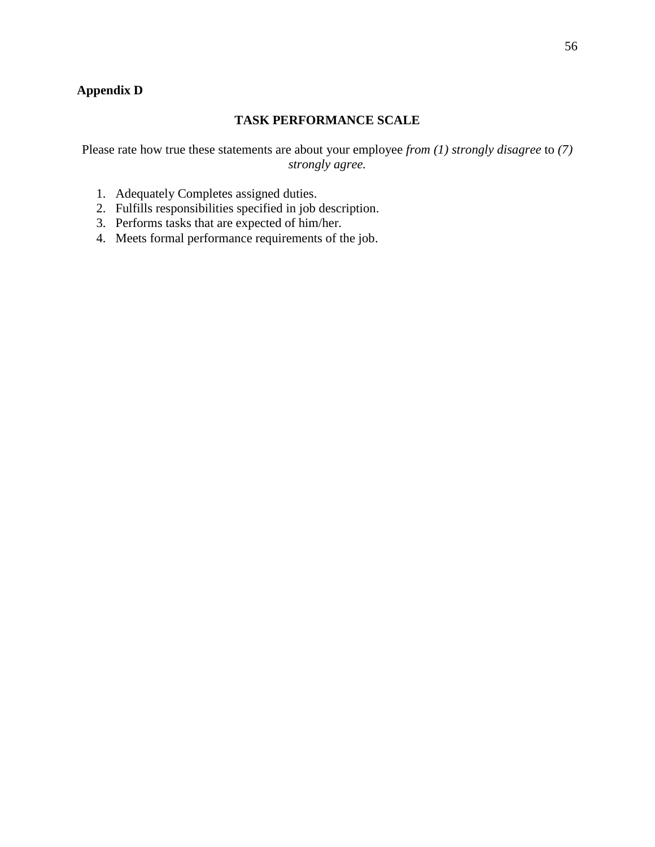## **Appendix D**

### **TASK PERFORMANCE SCALE**

Please rate how true these statements are about your employee *from (1) strongly disagree* to *(7) strongly agree.*

- 1. Adequately Completes assigned duties.
- 2. Fulfills responsibilities specified in job description.
- 3. Performs tasks that are expected of him/her.
- 4. Meets formal performance requirements of the job.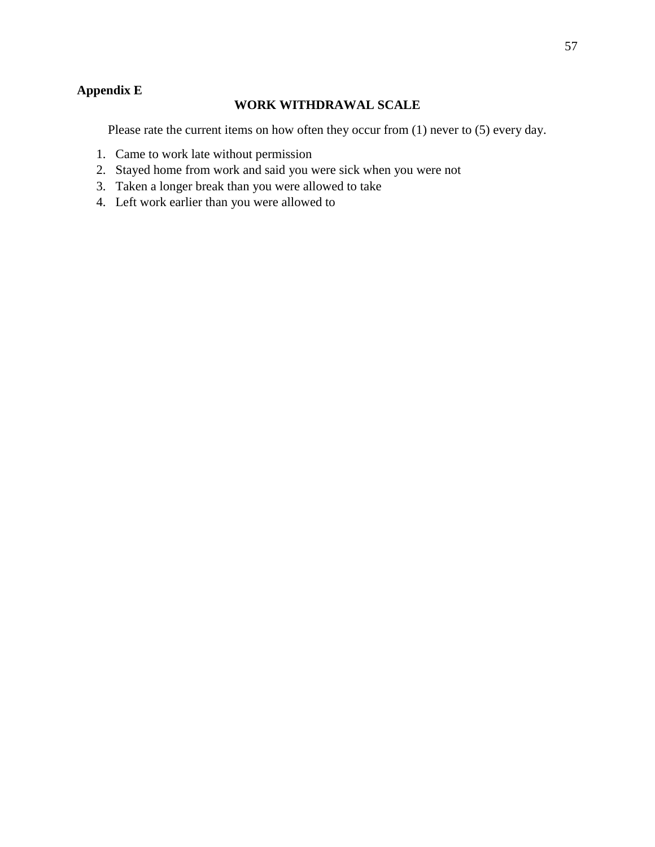## **Appendix E**

### **WORK WITHDRAWAL SCALE**

Please rate the current items on how often they occur from (1) never to (5) every day.

- 1. Came to work late without permission
- 2. Stayed home from work and said you were sick when you were not
- 3. Taken a longer break than you were allowed to take
- 4. Left work earlier than you were allowed to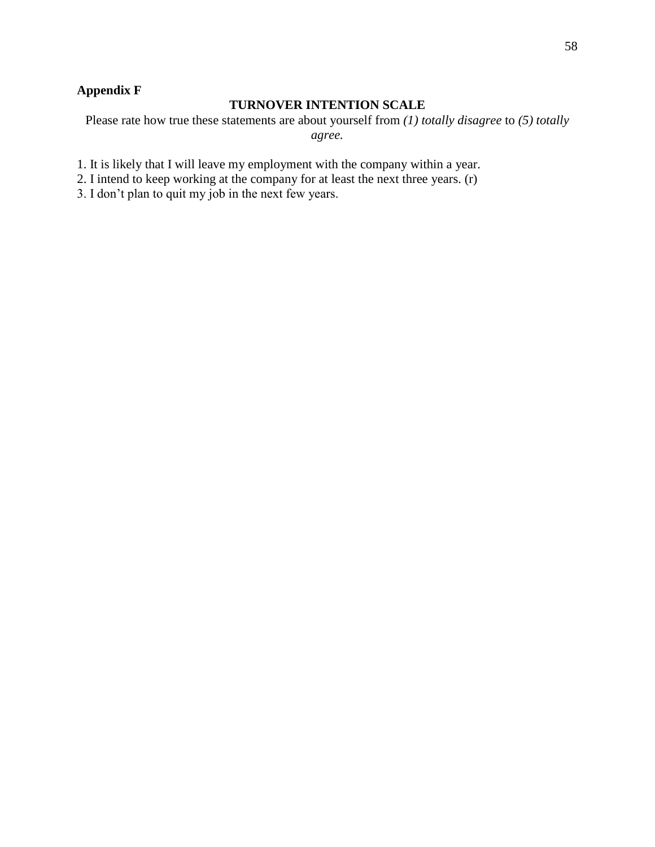## **Appendix F**

### **TURNOVER INTENTION SCALE**

Please rate how true these statements are about yourself from *(1) totally disagree* to *(5) totally agree.*

1. It is likely that I will leave my employment with the company within a year.

2. I intend to keep working at the company for at least the next three years. (r)

3. I don't plan to quit my job in the next few years.